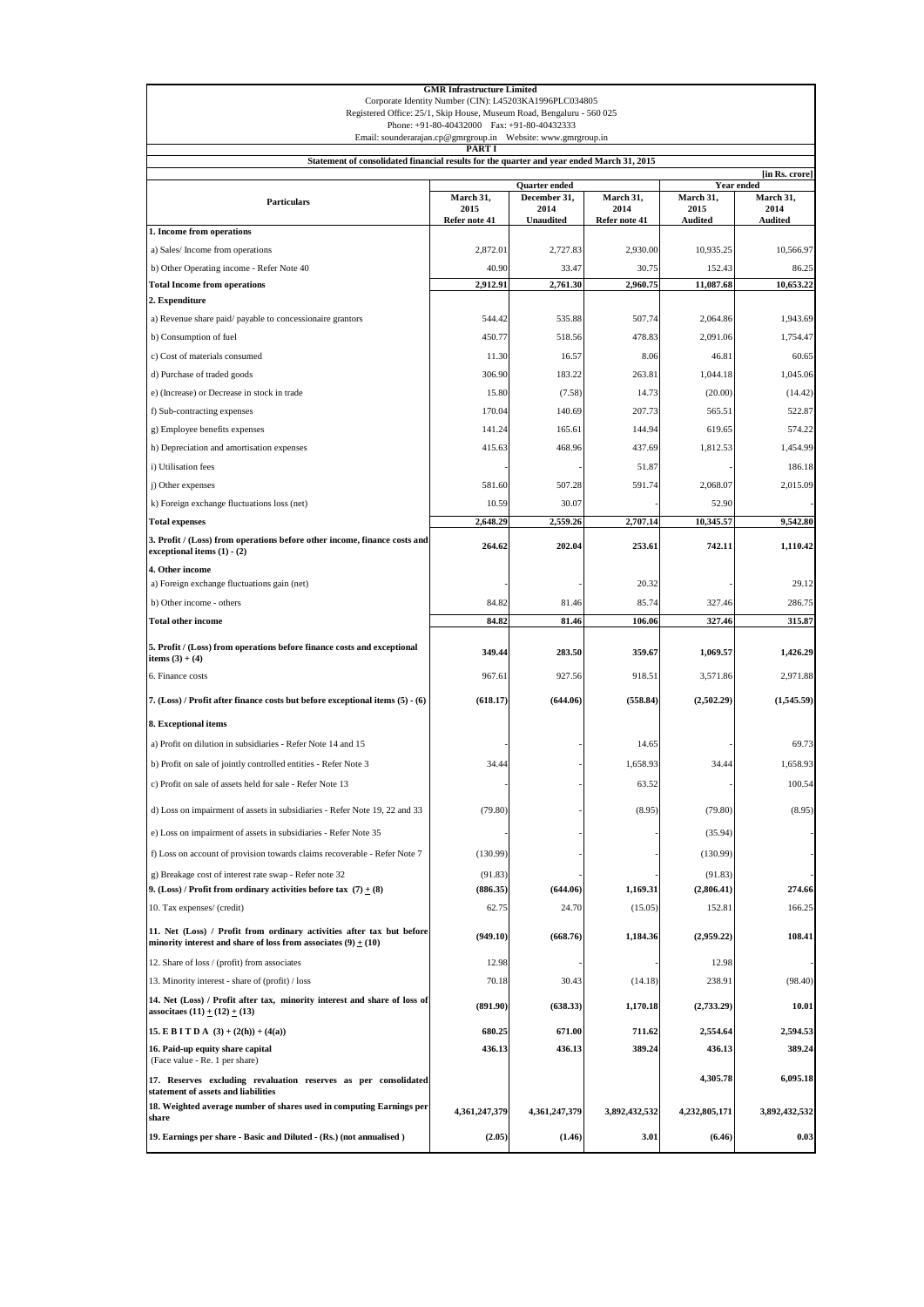| <b>GMR Infrastructure Limited</b><br>Corporate Identity Number (CIN): L45203KA1996PLC034805                                               |                                    |                                          |                                    |                                     |                              |
|-------------------------------------------------------------------------------------------------------------------------------------------|------------------------------------|------------------------------------------|------------------------------------|-------------------------------------|------------------------------|
| Registered Office: 25/1, Skip House, Museum Road, Bengaluru - 560 025<br>Phone: +91-80-40432000 Fax: +91-80-40432333                      |                                    |                                          |                                    |                                     |                              |
| Email: sounderarajan.cp@gmrgroup.in Website: www.gmrgroup.in<br>PART I                                                                    |                                    |                                          |                                    |                                     |                              |
| Statement of consolidated financial results for the quarter and year ended March 31, 2015                                                 |                                    |                                          |                                    |                                     |                              |
|                                                                                                                                           |                                    | Quarter ended                            |                                    |                                     | [in Rs. crore]<br>Year ended |
| <b>Particulars</b>                                                                                                                        | March 31,<br>2015<br>Refer note 41 | December 31,<br>2014<br><b>Unaudited</b> | March 31,<br>2014<br>Refer note 41 | March 31,<br>2015<br><b>Audited</b> | March 31,<br>2014<br>Audited |
| 1. Income from operations                                                                                                                 |                                    |                                          |                                    |                                     |                              |
| a) Sales/Income from operations                                                                                                           | 2,872.01                           | 2,727.83                                 | 2,930,00                           | 10,935.25                           | 10,566.97                    |
| b) Other Operating income - Refer Note 40                                                                                                 | 40.90                              | 33.47                                    | 30.75                              | 152.43                              | 86.25                        |
| <b>Total Income from operations</b>                                                                                                       | 2,912.91                           | 2,761.30                                 | 2,960.75                           | 11,087.68                           | 10,653.22                    |
| 2. Expenditure                                                                                                                            |                                    |                                          |                                    |                                     |                              |
| a) Revenue share paid/payable to concessionaire grantors                                                                                  | 544.42                             | 535.88                                   | 507.74                             | 2,064.86                            | 1,943.69                     |
| b) Consumption of fuel                                                                                                                    | 450.77                             | 518.56                                   | 478.83                             | 2,091.06                            | 1,754.47                     |
| c) Cost of materials consumed                                                                                                             | 11.30<br>306.90                    | 16.57<br>183.22                          | 8.06<br>263.81                     | 46.81<br>1,044.18                   | 60.65<br>1,045.06            |
| d) Purchase of traded goods                                                                                                               | 15.80                              |                                          | 14.73                              | (20.00)                             |                              |
| e) (Increase) or Decrease in stock in trade                                                                                               |                                    | (7.58)                                   |                                    |                                     | (14.42)                      |
| f) Sub-contracting expenses                                                                                                               | 170.04                             | 140.69<br>165.61                         | 207.73<br>144.94                   | 565.51                              | 522.87<br>574.22             |
| g) Employee benefits expenses<br>h) Depreciation and amortisation expenses                                                                | 141.24<br>415.63                   | 468.96                                   | 437.69                             | 619.65<br>1,812.53                  | 1,454.99                     |
| i) Utilisation fees                                                                                                                       |                                    |                                          | 51.87                              |                                     | 186.18                       |
| j) Other expenses                                                                                                                         | 581.60                             | 507.28                                   | 591.74                             | 2,068.07                            | 2,015.09                     |
| k) Foreign exchange fluctuations loss (net)                                                                                               | 10.59                              | 30.07                                    |                                    | 52.90                               |                              |
| <b>Total expenses</b>                                                                                                                     | 2,648.29                           | 2,559.26                                 | 2,707.14                           | 10,345.57                           | 9,542.80                     |
| 3. Profit / (Loss) from operations before other income, finance costs and<br>exceptional items $(1) - (2)$                                | 264.62                             | 202.04                                   | 253.61                             | 742.11                              | 1,110.42                     |
| 4. Other income                                                                                                                           |                                    |                                          |                                    |                                     |                              |
| a) Foreign exchange fluctuations gain (net)                                                                                               |                                    |                                          | 20.32                              |                                     | 29.12                        |
| b) Other income - others                                                                                                                  | 84.82                              | 81.46                                    | 85.74                              | 327.46                              | 286.75                       |
| <b>Total other income</b>                                                                                                                 | 84.82                              | 81.46                                    | 106.06                             | 327.46                              | 315.87                       |
| 5. Profit / (Loss) from operations before finance costs and exceptional<br>items $(3) + (4)$                                              | 349.44                             | 283.50                                   | 359.67                             | 1,069.57                            | 1,426.29                     |
| 6. Finance costs                                                                                                                          | 967.61                             | 927.56                                   | 918.51                             | 3,571.86                            | 2,971.88                     |
| 7. (Loss) / Profit after finance costs but before exceptional items (5) - (6)                                                             | (618.17)                           | (644.06)                                 | (558.84)                           | (2,502.29)                          | (1,545.59)                   |
| 8. Exceptional items                                                                                                                      |                                    |                                          |                                    |                                     |                              |
| a) Profit on dilution in subsidiaries - Refer Note 14 and 15                                                                              |                                    |                                          | 14.65                              |                                     | 69.73                        |
| b) Profit on sale of jointly controlled entities - Refer Note 3                                                                           | 34.44                              |                                          | 1,658.93                           | 34.44                               | 1,658.93                     |
| c) Profit on sale of assets held for sale - Refer Note 13                                                                                 |                                    |                                          | 63.52                              |                                     | 100.54                       |
| d) Loss on impairment of assets in subsidiaries - Refer Note 19, 22 and 33                                                                | (79.80)                            |                                          | (8.95)                             | (79.80)                             | (8.95)                       |
| e) Loss on impairment of assets in subsidiaries - Refer Note 35                                                                           |                                    |                                          |                                    | (35.94)                             |                              |
| f) Loss on account of provision towards claims recoverable - Refer Note 7                                                                 | (130.99)                           |                                          |                                    | (130.99)                            |                              |
| g) Breakage cost of interest rate swap - Refer note 32                                                                                    | (91.83)                            |                                          |                                    | (91.83)                             |                              |
| 9. (Loss) / Profit from ordinary activities before tax $(7) + (8)$                                                                        | (886.35)                           | (644.06)                                 | 1,169.31                           | (2,806.41)                          | 274.66                       |
| 10. Tax expenses/ (credit)                                                                                                                | 62.75                              | 24.70                                    | (15.05)                            | 152.81                              | 166.25                       |
| 11. Net (Loss) / Profit from ordinary activities after tax but before<br>minority interest and share of loss from associates $(9) + (10)$ | (949.10)                           | (668.76)                                 | 1,184.36                           | (2,959.22)                          | 108.41                       |
| 12. Share of loss / (profit) from associates                                                                                              | 12.98                              |                                          |                                    | 12.98                               |                              |
| 13. Minority interest - share of (profit) / loss                                                                                          | 70.18                              | 30.43                                    | (14.18)                            | 238.91                              | (98.40)                      |
| 14. Net (Loss) / Profit after tax, minority interest and share of loss of<br>associtaes $(11) + (12) + (13)$                              | (891.90)                           | (638.33)                                 | 1,170.18                           | (2,733.29)                          | 10.01                        |
| 15. E B I T D A $(3) + (2(h)) + (4(a))$                                                                                                   | 680.25                             | 671.00                                   | 711.62                             | 2,554.64                            | 2,594.53                     |
| 16. Paid-up equity share capital<br>(Face value - Re. 1 per share)                                                                        | 436.13                             | 436.13                                   | 389.24                             | 436.13                              | 389.24                       |
| 17. Reserves excluding revaluation reserves as per consolidated<br>statement of assets and liabilities                                    |                                    |                                          |                                    | 4,305.78                            | 6,095.18                     |
| 18. Weighted average number of shares used in computing Earnings per<br>share                                                             | 4,361,247,379                      | 4,361,247,379                            | 3,892,432,532                      | 4,232,805,171                       | 3,892,432,532                |
| 19. Earnings per share - Basic and Diluted - (Rs.) (not annualised)                                                                       | (2.05)                             | (1.46)                                   | 3.01                               | (6.46)                              | 0.03                         |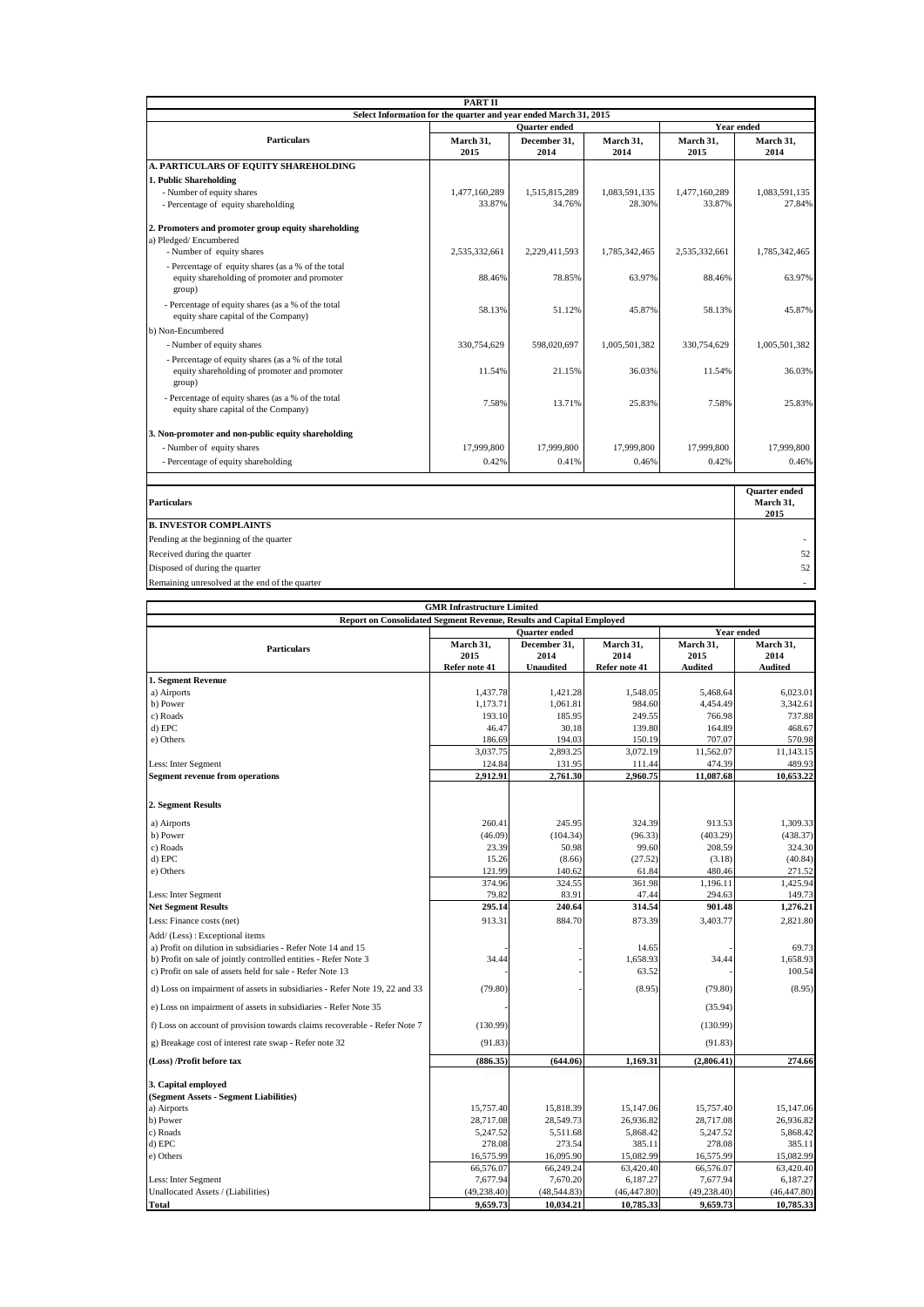|                                                                                                              | PART II           |                      |                   |                   |                                           |  |
|--------------------------------------------------------------------------------------------------------------|-------------------|----------------------|-------------------|-------------------|-------------------------------------------|--|
| Select Information for the quarter and year ended March 31, 2015<br><b>Ouarter</b> ended<br>Year ended       |                   |                      |                   |                   |                                           |  |
| <b>Particulars</b>                                                                                           |                   |                      |                   |                   |                                           |  |
|                                                                                                              | March 31,<br>2015 | December 31.<br>2014 | March 31,<br>2014 | March 31,<br>2015 | March 31,<br>2014                         |  |
| A. PARTICULARS OF EQUITY SHAREHOLDING                                                                        |                   |                      |                   |                   |                                           |  |
| 1. Public Shareholding                                                                                       |                   |                      |                   |                   |                                           |  |
| - Number of equity shares                                                                                    | 1,477,160,289     | 1,515,815,289        | 1.083.591.135     | 1,477,160,289     | 1,083,591,135                             |  |
| - Percentage of equity shareholding                                                                          | 33.87%            | 34.76%               | 28.30%            | 33.87%            | 27.84%                                    |  |
| 2. Promoters and promoter group equity shareholding                                                          |                   |                      |                   |                   |                                           |  |
| a) Pledged/Encumbered                                                                                        |                   |                      |                   |                   |                                           |  |
| - Number of equity shares                                                                                    | 2.535.332.661     | 2,229,411,593        | 1.785.342.465     | 2,535,332,661     | 1.785.342.465                             |  |
| - Percentage of equity shares (as a % of the total<br>equity shareholding of promoter and promoter           | 88.46%            | 78.85%               | 63.97%            | 88.46%            | 63.97%                                    |  |
| group)                                                                                                       |                   |                      |                   |                   |                                           |  |
| - Percentage of equity shares (as a % of the total<br>equity share capital of the Company)                   | 58.13%            | 51.12%               | 45.87%            | 58.13%            | 45.87%                                    |  |
| b) Non-Encumbered                                                                                            |                   |                      |                   |                   |                                           |  |
| - Number of equity shares                                                                                    | 330,754,629       | 598,020,697          | 1,005,501,382     | 330,754,629       | 1,005,501,382                             |  |
| - Percentage of equity shares (as a % of the total<br>equity shareholding of promoter and promoter<br>group) | 11.54%            | 21.15%               | 36.03%            | 11.54%            | 36.03%                                    |  |
| - Percentage of equity shares (as a % of the total<br>equity share capital of the Company)                   | 7.58%             | 13.71%               | 25.83%            | 7.58%             | 25.83%                                    |  |
| 3. Non-promoter and non-public equity shareholding                                                           |                   |                      |                   |                   |                                           |  |
| - Number of equity shares                                                                                    | 17,999,800        | 17,999,800           | 17,999,800        | 17,999,800        | 17,999,800                                |  |
| - Percentage of equity shareholding                                                                          | 0.42%             | 0.41%                | 0.46%             | 0.42%             | 0.46%                                     |  |
|                                                                                                              |                   |                      |                   |                   |                                           |  |
| <b>Particulars</b>                                                                                           |                   |                      |                   |                   | <b>Quarter</b> ended<br>March 31,<br>2015 |  |
| <b>B. INVESTOR COMPLAINTS</b>                                                                                |                   |                      |                   |                   |                                           |  |
| Pending at the beginning of the quarter                                                                      |                   |                      |                   |                   |                                           |  |
| Received during the quarter                                                                                  |                   |                      |                   |                   | 52                                        |  |
| Disposed of during the quarter                                                                               |                   |                      |                   |                   | 52                                        |  |
| Remaining unresolved at the end of the quarter                                                               |                   |                      |                   |                   |                                           |  |

| <b>GMR Infrastructure Limited</b>                                          |                                           |                      |                   |                   |                   |  |
|----------------------------------------------------------------------------|-------------------------------------------|----------------------|-------------------|-------------------|-------------------|--|
| Report on Consolidated Segment Revenue, Results and Capital Employed       |                                           |                      |                   |                   |                   |  |
|                                                                            | <b>Year ended</b><br><b>Ouarter</b> ended |                      |                   |                   |                   |  |
| <b>Particulars</b>                                                         | March 31,<br>2015                         | December 31,<br>2014 | March 31,<br>2014 | March 31,<br>2015 | March 31,<br>2014 |  |
|                                                                            | Refer note 41                             | <b>Unaudited</b>     | Refer note 41     | <b>Audited</b>    | <b>Audited</b>    |  |
| 1. Segment Revenue                                                         |                                           |                      |                   |                   |                   |  |
| a) Airports                                                                | 1.437.78                                  | 1.421.28             | 1,548.05          | 5,468.64          | 6.023.01          |  |
| b) Power                                                                   | 1,173.71                                  | 1,061.81             | 984.60            | 4,454.49          | 3,342.61          |  |
| c) Roads                                                                   | 193.10                                    | 185.95               | 249.55            | 766.98            | 737.88            |  |
| d) EPC                                                                     | 46.47                                     | 30.18                | 139.80            | 164.89            | 468.67            |  |
| e) Others                                                                  | 186.69                                    | 194.03               | 150.19            | 707.07            | 570.98            |  |
|                                                                            | 3,037.75                                  | 2,893.25             | 3,072.19          | 11,562.07         | 11,143.15         |  |
| Less: Inter Segment                                                        | 124.84                                    | 131.95               | 111.44            | 474.39            | 489.93            |  |
| <b>Segment revenue from operations</b>                                     | 2,912.91                                  | 2,761.30             | 2,960.75          | 11,087.68         | 10,653.22         |  |
| 2. Segment Results                                                         |                                           |                      |                   |                   |                   |  |
| a) Airports                                                                | 260.41                                    | 245.95               | 324.39            | 913.53            | 1,309.33          |  |
| b) Power                                                                   | (46.09)                                   | (104.34)             | (96.33)           | (403.29)          | (438.37)          |  |
| c) Roads                                                                   | 23.39                                     | 50.98                | 99.60             | 208.59            | 324.30            |  |
| d) EPC                                                                     | 15.26                                     | (8.66)               | (27.52)           | (3.18)            | (40.84)           |  |
| e) Others                                                                  | 121.99                                    | 140.62               | 61.84             | 480.46            | 271.52            |  |
|                                                                            | 374.96                                    | 324.55               | 361.98            | 1,196.11          | 1,425.94          |  |
| Less: Inter Segment                                                        | 79.82                                     | 83.91                | 47.44             | 294.63            | 149.73            |  |
| <b>Net Segment Results</b>                                                 | 295.14                                    | 240.64               | 314.54            | 901.48            | 1,276.21          |  |
| Less: Finance costs (net)                                                  | 913.31                                    | 884.70               | 873.39            | 3,403.77          | 2,821.80          |  |
| Add/ (Less) : Exceptional items                                            |                                           |                      |                   |                   |                   |  |
| a) Profit on dilution in subsidiaries - Refer Note 14 and 15               |                                           |                      | 14.65             |                   | 69.73             |  |
| b) Profit on sale of jointly controlled entities - Refer Note 3            | 34.44                                     |                      | 1,658.93          | 34.44             | 1,658.93          |  |
| c) Profit on sale of assets held for sale - Refer Note 13                  |                                           |                      | 63.52             |                   | 100.54            |  |
| d) Loss on impairment of assets in subsidiaries - Refer Note 19, 22 and 33 | (79.80)                                   |                      | (8.95)            | (79.80)           | (8.95)            |  |
| e) Loss on impairment of assets in subsidiaries - Refer Note 35            |                                           |                      |                   | (35.94)           |                   |  |
| f) Loss on account of provision towards claims recoverable - Refer Note 7  | (130.99)                                  |                      |                   | (130.99)          |                   |  |
| g) Breakage cost of interest rate swap - Refer note 32                     | (91.83)                                   |                      |                   | (91.83)           |                   |  |
| (Loss) /Profit before tax                                                  | (886.35)                                  | (644.06)             | 1,169.31          | (2,806.41)        | 274.66            |  |
|                                                                            | U.U                                       |                      | 10.OU             |                   |                   |  |
| 3. Capital employed                                                        |                                           |                      |                   |                   |                   |  |
| (Segment Assets - Segment Liabilities)                                     |                                           |                      |                   |                   |                   |  |
| a) Airports                                                                | 15,757.40                                 | 15,818.39            | 15,147.06         | 15,757.40         | 15,147.06         |  |
| b) Power                                                                   | 28,717.08                                 | 28,549.73            | 26,936.82         | 28,717.08         | 26,936.82         |  |
| c) Roads                                                                   | 5,247.52                                  | 5,511.68             | 5,868.42          | 5,247.52          | 5,868.42          |  |
| d) EPC                                                                     | 278.08                                    | 273.54               | 385.11            | 278.08            | 385.11            |  |
| e) Others                                                                  | 16,575.99                                 | 16,095.90            | 15,082.99         | 16,575.99         | 15,082.99         |  |
|                                                                            | 66,576.07                                 | 66,249.24            | 63,420.40         | 66,576.07         | 63,420.40         |  |
| Less: Inter Segment                                                        | 7,677.94                                  | 7,670.20             | 6,187.27          | 7,677.94          | 6.187.27          |  |
| Unallocated Assets / (Liabilities)                                         | (49, 238.40)                              | (48,544.83)          | (46, 447.80)      | (49, 238.40)      | (46, 447.80)      |  |
| <b>Total</b>                                                               | 9,659.73                                  | 10,034.21            | 10,785.33         | 9,659.73          | 10,785.33         |  |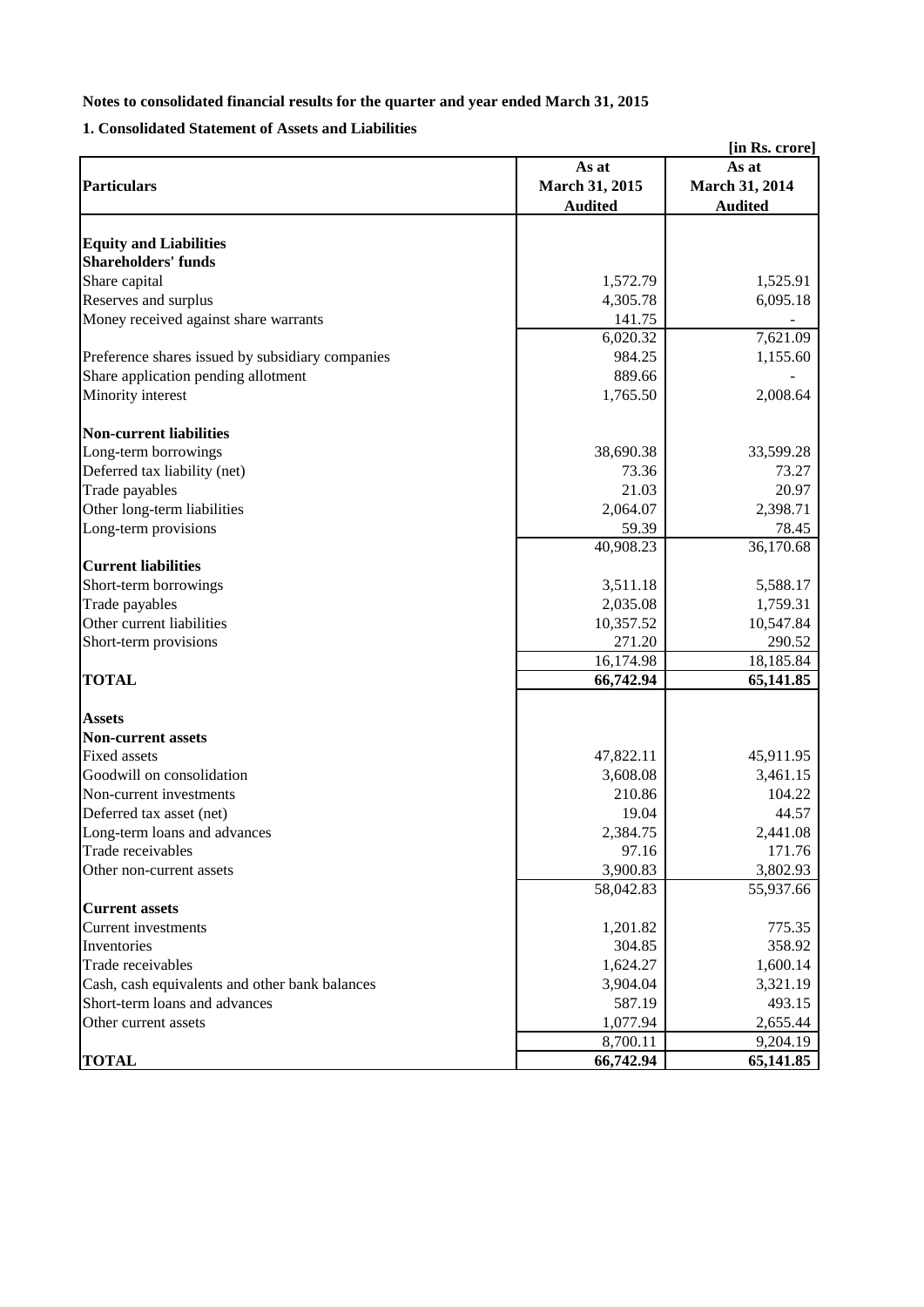# **1. Consolidated Statement of Assets and Liabilities**

| [in Rs. crore]                                   |                |                |  |  |
|--------------------------------------------------|----------------|----------------|--|--|
|                                                  | As at          | As at          |  |  |
| <b>Particulars</b>                               | March 31, 2015 | March 31, 2014 |  |  |
|                                                  | <b>Audited</b> | <b>Audited</b> |  |  |
|                                                  |                |                |  |  |
| <b>Equity and Liabilities</b>                    |                |                |  |  |
| <b>Shareholders' funds</b>                       |                |                |  |  |
| Share capital                                    | 1,572.79       | 1,525.91       |  |  |
| Reserves and surplus                             | 4,305.78       | 6,095.18       |  |  |
| Money received against share warrants            | 141.75         |                |  |  |
|                                                  | 6,020.32       | 7,621.09       |  |  |
| Preference shares issued by subsidiary companies | 984.25         | 1,155.60       |  |  |
| Share application pending allotment              | 889.66         |                |  |  |
| Minority interest                                | 1,765.50       | 2,008.64       |  |  |
| <b>Non-current liabilities</b>                   |                |                |  |  |
| Long-term borrowings                             | 38,690.38      | 33,599.28      |  |  |
| Deferred tax liability (net)                     | 73.36          | 73.27          |  |  |
| Trade payables                                   | 21.03          | 20.97          |  |  |
| Other long-term liabilities                      | 2,064.07       | 2,398.71       |  |  |
| Long-term provisions                             | 59.39          | 78.45          |  |  |
|                                                  | 40,908.23      | 36,170.68      |  |  |
| <b>Current liabilities</b>                       |                |                |  |  |
| Short-term borrowings                            | 3,511.18       | 5,588.17       |  |  |
| Trade payables                                   | 2,035.08       | 1,759.31       |  |  |
| Other current liabilities                        | 10,357.52      | 10,547.84      |  |  |
| Short-term provisions                            | 271.20         | 290.52         |  |  |
|                                                  | 16,174.98      | 18,185.84      |  |  |
| <b>TOTAL</b>                                     | 66,742.94      | 65,141.85      |  |  |
|                                                  |                |                |  |  |
| <b>Assets</b>                                    |                |                |  |  |
| <b>Non-current assets</b>                        |                |                |  |  |
| <b>Fixed assets</b>                              | 47,822.11      | 45,911.95      |  |  |
| Goodwill on consolidation                        | 3,608.08       | 3,461.15       |  |  |
| Non-current investments                          | 210.86         | 104.22         |  |  |
| Deferred tax asset (net)                         | 19.04          | 44.57          |  |  |
| Long-term loans and advances                     | 2,384.75       | 2,441.08       |  |  |
| Trade receivables                                | 97.16          | 171.76         |  |  |
| Other non-current assets                         | 3,900.83       | 3,802.93       |  |  |
| <b>Current assets</b>                            | 58,042.83      | 55,937.66      |  |  |
| <b>Current investments</b>                       | 1,201.82       | 775.35         |  |  |
| Inventories                                      | 304.85         | 358.92         |  |  |
| Trade receivables                                | 1,624.27       | 1,600.14       |  |  |
| Cash, cash equivalents and other bank balances   | 3,904.04       | 3,321.19       |  |  |
| Short-term loans and advances                    | 587.19         | 493.15         |  |  |
| Other current assets                             | 1,077.94       | 2,655.44       |  |  |
|                                                  | 8,700.11       | 9,204.19       |  |  |
| <b>TOTAL</b>                                     | 66,742.94      | 65,141.85      |  |  |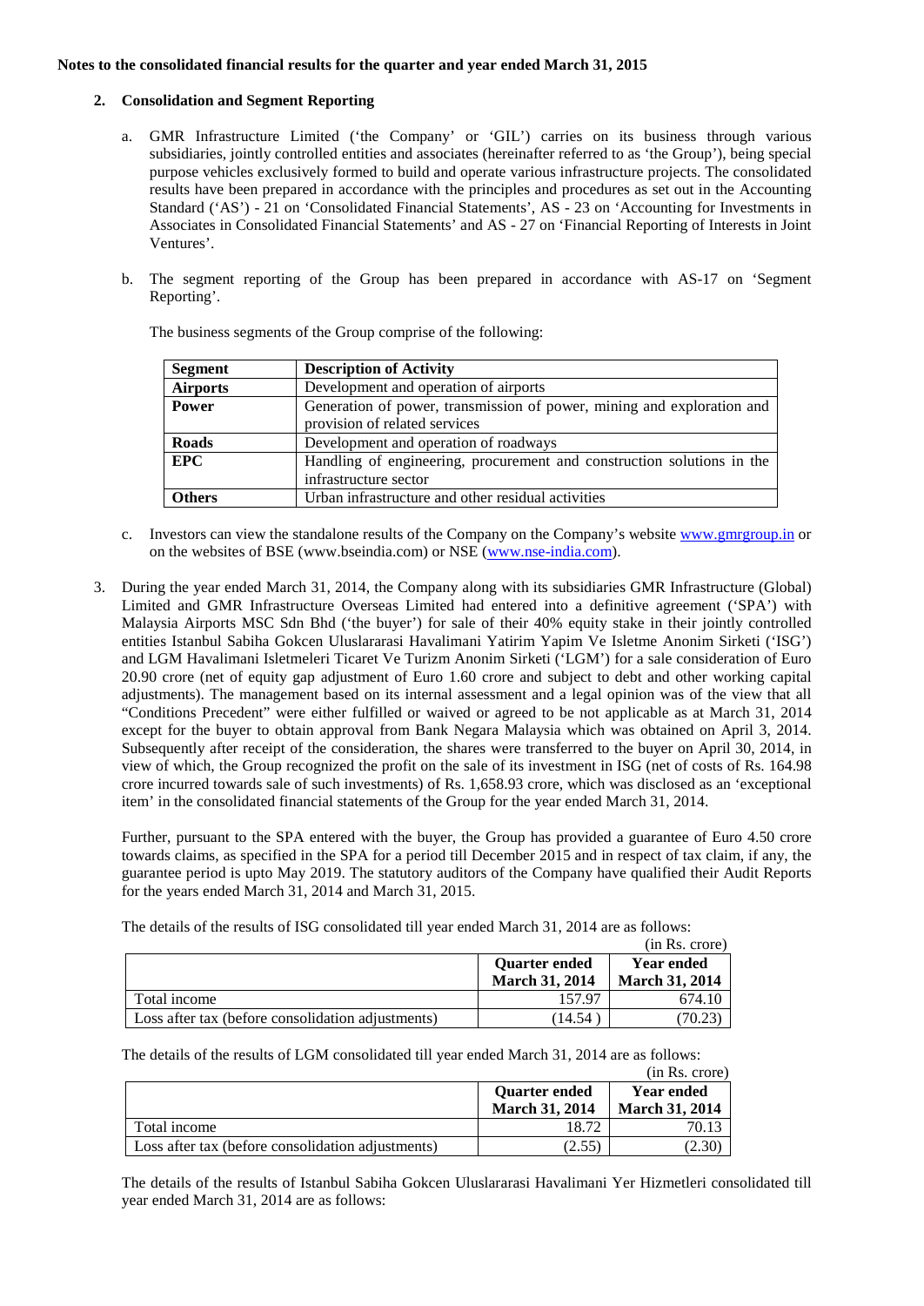### **2. Consolidation and Segment Reporting**

- a. GMR Infrastructure Limited ('the Company' or 'GIL') carries on its business through various subsidiaries, jointly controlled entities and associates (hereinafter referred to as 'the Group'), being special purpose vehicles exclusively formed to build and operate various infrastructure projects. The consolidated results have been prepared in accordance with the principles and procedures as set out in the Accounting Standard ('AS') - 21 on 'Consolidated Financial Statements', AS - 23 on 'Accounting for Investments in Associates in Consolidated Financial Statements' and AS - 27 on 'Financial Reporting of Interests in Joint Ventures'.
- b. The segment reporting of the Group has been prepared in accordance with AS-17 on 'Segment Reporting'.

| Segment         | <b>Description of Activity</b>                                         |
|-----------------|------------------------------------------------------------------------|
| <b>Airports</b> | Development and operation of airports                                  |
| <b>Power</b>    | Generation of power, transmission of power, mining and exploration and |
|                 | provision of related services                                          |
| <b>Roads</b>    | Development and operation of roadways                                  |
| <b>EPC</b>      | Handling of engineering, procurement and construction solutions in the |
|                 | infrastructure sector                                                  |
| <b>Others</b>   | Urban infrastructure and other residual activities                     |

The business segments of the Group comprise of the following:

- c. Investors can view the standalone results of the Company on the Company's websit[e www.gmrgroup.in](http://www.gmrgroup.in/) or on the websites of BSE (www.bseindia.com) or NSE [\(www.nse-india.com\)](http://www.nse-india.com/).
- 3. During the year ended March 31, 2014, the Company along with its subsidiaries GMR Infrastructure (Global) Limited and GMR Infrastructure Overseas Limited had entered into a definitive agreement ('SPA') with Malaysia Airports MSC Sdn Bhd ('the buyer') for sale of their 40% equity stake in their jointly controlled entities Istanbul Sabiha Gokcen Uluslararasi Havalimani Yatirim Yapim Ve Isletme Anonim Sirketi ('ISG') and LGM Havalimani Isletmeleri Ticaret Ve Turizm Anonim Sirketi ('LGM') for a sale consideration of Euro 20.90 crore (net of equity gap adjustment of Euro 1.60 crore and subject to debt and other working capital adjustments). The management based on its internal assessment and a legal opinion was of the view that all "Conditions Precedent" were either fulfilled or waived or agreed to be not applicable as at March 31, 2014 except for the buyer to obtain approval from Bank Negara Malaysia which was obtained on April 3, 2014. Subsequently after receipt of the consideration, the shares were transferred to the buyer on April 30, 2014, in view of which, the Group recognized the profit on the sale of its investment in ISG (net of costs of Rs. 164.98 crore incurred towards sale of such investments) of Rs. 1,658.93 crore, which was disclosed as an 'exceptional item' in the consolidated financial statements of the Group for the year ended March 31, 2014.

Further, pursuant to the SPA entered with the buyer, the Group has provided a guarantee of Euro 4.50 crore towards claims, as specified in the SPA for a period till December 2015 and in respect of tax claim, if any, the guarantee period is upto May 2019. The statutory auditors of the Company have qualified their Audit Reports for the years ended March 31, 2014 and March 31, 2015.

The details of the results of ISG consolidated till year ended March 31, 2014 are as follows:

|                                                   |                       | (in Rs. crore)        |
|---------------------------------------------------|-----------------------|-----------------------|
|                                                   | <b>Ouarter ended</b>  | <b>Year ended</b>     |
|                                                   | <b>March 31, 2014</b> | <b>March 31, 2014</b> |
| Total income                                      | 157.97                | 674.10                |
| Loss after tax (before consolidation adjustments) | (14.54)               | 70.23                 |

The details of the results of LGM consolidated till year ended March 31, 2014 are as follows:

|                                                   |                       | (in Rs. crore)        |
|---------------------------------------------------|-----------------------|-----------------------|
|                                                   | <b>Quarter ended</b>  | <b>Year ended</b>     |
|                                                   | <b>March 31, 2014</b> | <b>March 31, 2014</b> |
| Total income                                      | 18.72                 | 70.13                 |
| Loss after tax (before consolidation adjustments) | (2.55)                | (2.30                 |

The details of the results of Istanbul Sabiha Gokcen Uluslararasi Havalimani Yer Hizmetleri consolidated till year ended March 31, 2014 are as follows: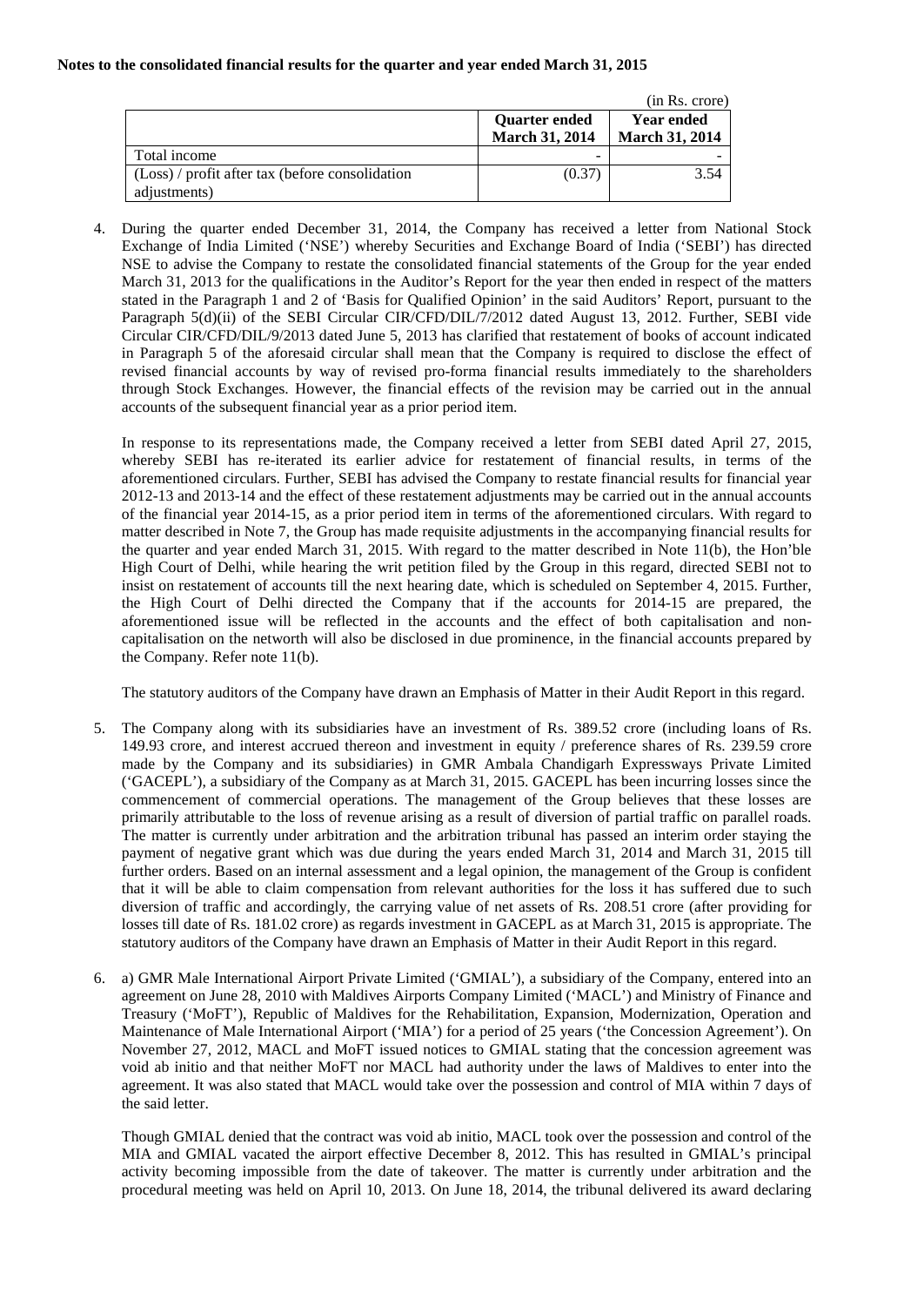|                                                                   |                                               | (in Rs. crore)                             |
|-------------------------------------------------------------------|-----------------------------------------------|--------------------------------------------|
|                                                                   | <b>Ouarter ended</b><br><b>March 31, 2014</b> | <b>Year ended</b><br><b>March 31, 2014</b> |
| Total income                                                      | -                                             |                                            |
| $(Loss) / profit$ after tax (before consolidation<br>adjustments) | (0.37)                                        | 3.54                                       |

4. During the quarter ended December 31, 2014, the Company has received a letter from National Stock Exchange of India Limited ('NSE') whereby Securities and Exchange Board of India ('SEBI') has directed NSE to advise the Company to restate the consolidated financial statements of the Group for the year ended March 31, 2013 for the qualifications in the Auditor's Report for the year then ended in respect of the matters stated in the Paragraph 1 and 2 of 'Basis for Qualified Opinion' in the said Auditors' Report, pursuant to the Paragraph 5(d)(ii) of the SEBI Circular CIR/CFD/DIL/7/2012 dated August 13, 2012. Further, SEBI vide Circular CIR/CFD/DIL/9/2013 dated June 5, 2013 has clarified that restatement of books of account indicated in Paragraph 5 of the aforesaid circular shall mean that the Company is required to disclose the effect of revised financial accounts by way of revised pro-forma financial results immediately to the shareholders through Stock Exchanges. However, the financial effects of the revision may be carried out in the annual accounts of the subsequent financial year as a prior period item.

In response to its representations made, the Company received a letter from SEBI dated April 27, 2015, whereby SEBI has re-iterated its earlier advice for restatement of financial results, in terms of the aforementioned circulars. Further, SEBI has advised the Company to restate financial results for financial year 2012-13 and 2013-14 and the effect of these restatement adjustments may be carried out in the annual accounts of the financial year 2014-15, as a prior period item in terms of the aforementioned circulars. With regard to matter described in Note 7, the Group has made requisite adjustments in the accompanying financial results for the quarter and year ended March 31, 2015. With regard to the matter described in Note 11(b), the Hon'ble High Court of Delhi, while hearing the writ petition filed by the Group in this regard, directed SEBI not to insist on restatement of accounts till the next hearing date, which is scheduled on September 4, 2015. Further, the High Court of Delhi directed the Company that if the accounts for 2014-15 are prepared, the aforementioned issue will be reflected in the accounts and the effect of both capitalisation and noncapitalisation on the networth will also be disclosed in due prominence, in the financial accounts prepared by the Company. Refer note 11(b).

The statutory auditors of the Company have drawn an Emphasis of Matter in their Audit Report in this regard.

- 5. The Company along with its subsidiaries have an investment of Rs. 389.52 crore (including loans of Rs. 149.93 crore, and interest accrued thereon and investment in equity / preference shares of Rs. 239.59 crore made by the Company and its subsidiaries) in GMR Ambala Chandigarh Expressways Private Limited ('GACEPL'), a subsidiary of the Company as at March 31, 2015. GACEPL has been incurring losses since the commencement of commercial operations. The management of the Group believes that these losses are primarily attributable to the loss of revenue arising as a result of diversion of partial traffic on parallel roads. The matter is currently under arbitration and the arbitration tribunal has passed an interim order staying the payment of negative grant which was due during the years ended March 31, 2014 and March 31, 2015 till further orders. Based on an internal assessment and a legal opinion, the management of the Group is confident that it will be able to claim compensation from relevant authorities for the loss it has suffered due to such diversion of traffic and accordingly, the carrying value of net assets of Rs. 208.51 crore (after providing for losses till date of Rs. 181.02 crore) as regards investment in GACEPL as at March 31, 2015 is appropriate. The statutory auditors of the Company have drawn an Emphasis of Matter in their Audit Report in this regard.
- 6. a) GMR Male International Airport Private Limited ('GMIAL'), a subsidiary of the Company, entered into an agreement on June 28, 2010 with Maldives Airports Company Limited ('MACL') and Ministry of Finance and Treasury ('MoFT'), Republic of Maldives for the Rehabilitation, Expansion, Modernization, Operation and Maintenance of Male International Airport ('MIA') for a period of 25 years ('the Concession Agreement'). On November 27, 2012, MACL and MoFT issued notices to GMIAL stating that the concession agreement was void ab initio and that neither MoFT nor MACL had authority under the laws of Maldives to enter into the agreement. It was also stated that MACL would take over the possession and control of MIA within 7 days of the said letter.

Though GMIAL denied that the contract was void ab initio, MACL took over the possession and control of the MIA and GMIAL vacated the airport effective December 8, 2012. This has resulted in GMIAL's principal activity becoming impossible from the date of takeover. The matter is currently under arbitration and the procedural meeting was held on April 10, 2013. On June 18, 2014, the tribunal delivered its award declaring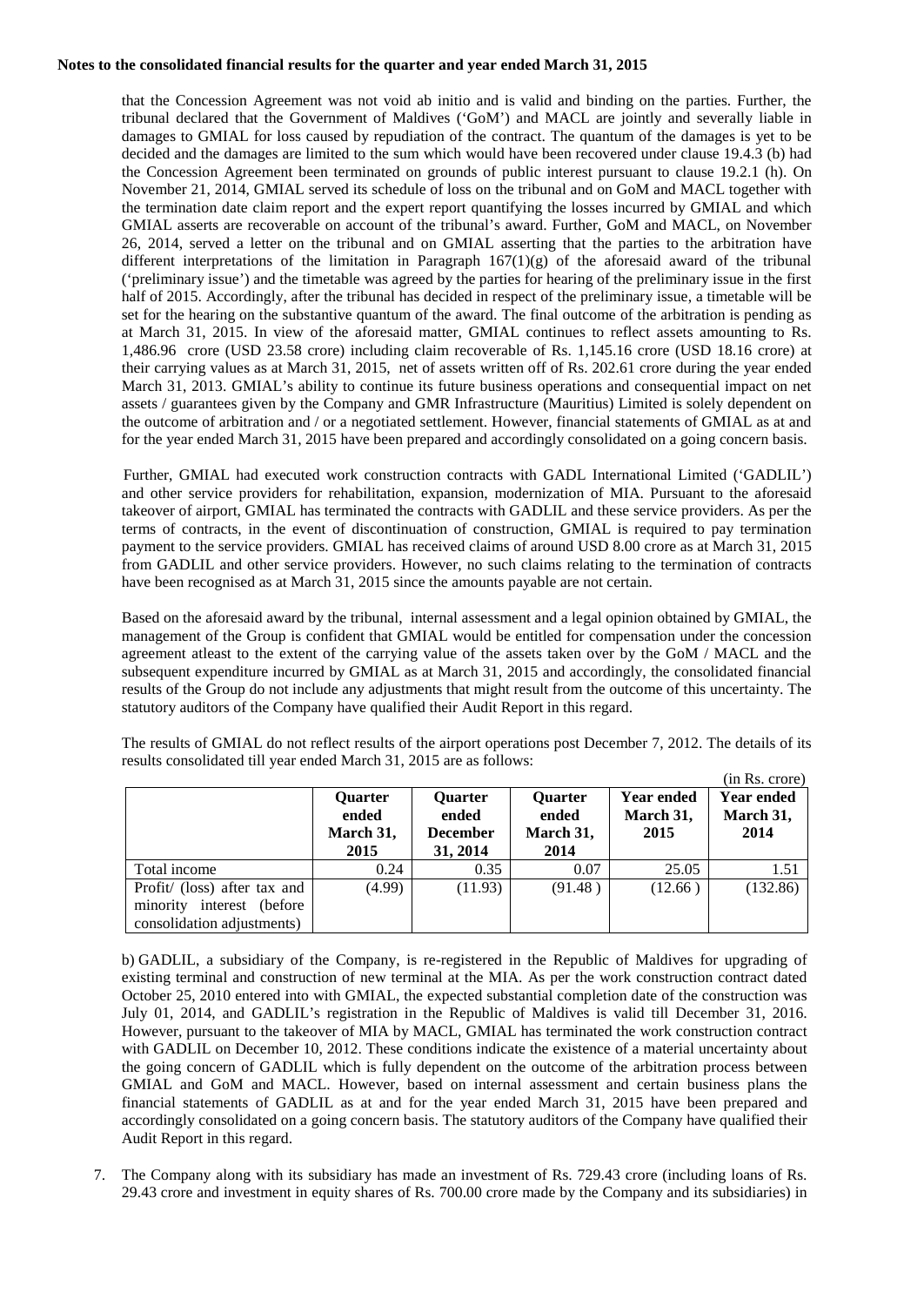that the Concession Agreement was not void ab initio and is valid and binding on the parties. Further, the tribunal declared that the Government of Maldives ('GoM') and MACL are jointly and severally liable in damages to GMIAL for loss caused by repudiation of the contract. The quantum of the damages is yet to be decided and the damages are limited to the sum which would have been recovered under clause 19.4.3 (b) had the Concession Agreement been terminated on grounds of public interest pursuant to clause 19.2.1 (h). On November 21, 2014, GMIAL served its schedule of loss on the tribunal and on GoM and MACL together with the termination date claim report and the expert report quantifying the losses incurred by GMIAL and which GMIAL asserts are recoverable on account of the tribunal's award. Further, GoM and MACL, on November 26, 2014, served a letter on the tribunal and on GMIAL asserting that the parties to the arbitration have different interpretations of the limitation in Paragraph  $167(1)(g)$  of the aforesaid award of the tribunal ('preliminary issue') and the timetable was agreed by the parties for hearing of the preliminary issue in the first half of 2015. Accordingly, after the tribunal has decided in respect of the preliminary issue, a timetable will be set for the hearing on the substantive quantum of the award. The final outcome of the arbitration is pending as at March 31, 2015. In view of the aforesaid matter, GMIAL continues to reflect assets amounting to Rs. 1,486.96 crore (USD 23.58 crore) including claim recoverable of Rs. 1,145.16 crore (USD 18.16 crore) at their carrying values as at March 31, 2015, net of assets written off of Rs. 202.61 crore during the year ended March 31, 2013. GMIAL's ability to continue its future business operations and consequential impact on net assets / guarantees given by the Company and GMR Infrastructure (Mauritius) Limited is solely dependent on the outcome of arbitration and / or a negotiated settlement. However, financial statements of GMIAL as at and for the year ended March 31, 2015 have been prepared and accordingly consolidated on a going concern basis.

Further, GMIAL had executed work construction contracts with GADL International Limited ('GADLIL') and other service providers for rehabilitation, expansion, modernization of MIA. Pursuant to the aforesaid takeover of airport, GMIAL has terminated the contracts with GADLIL and these service providers. As per the terms of contracts, in the event of discontinuation of construction, GMIAL is required to pay termination payment to the service providers. GMIAL has received claims of around USD 8.00 crore as at March 31, 2015 from GADLIL and other service providers. However, no such claims relating to the termination of contracts have been recognised as at March 31, 2015 since the amounts payable are not certain.

Based on the aforesaid award by the tribunal, internal assessment and a legal opinion obtained by GMIAL, the management of the Group is confident that GMIAL would be entitled for compensation under the concession agreement atleast to the extent of the carrying value of the assets taken over by the GoM / MACL and the subsequent expenditure incurred by GMIAL as at March 31, 2015 and accordingly, the consolidated financial results of the Group do not include any adjustments that might result from the outcome of this uncertainty. The statutory auditors of the Company have qualified their Audit Report in this regard.

|                  |                  |                  |                                | (in Rs. crore)                 |
|------------------|------------------|------------------|--------------------------------|--------------------------------|
| Quarter<br>ended | Quarter<br>ended | Quarter<br>ended | <b>Year ended</b><br>March 31, | <b>Year ended</b><br>March 31, |
| March 31,        | <b>December</b>  | March 31,        | 2015                           | 2014                           |
|                  |                  |                  |                                | 1.51                           |
| (4.99)           | (11.93)          | (91.48)          | (12.66)                        | (132.86)                       |
|                  |                  |                  |                                |                                |
|                  | 2015<br>0.24     | 31, 2014<br>0.35 | 2014<br>0.07                   | 25.05                          |

The results of GMIAL do not reflect results of the airport operations post December 7, 2012. The details of its results consolidated till year ended March 31, 2015 are as follows:

b) GADLIL, a subsidiary of the Company, is re-registered in the Republic of Maldives for upgrading of existing terminal and construction of new terminal at the MIA. As per the work construction contract dated October 25, 2010 entered into with GMIAL, the expected substantial completion date of the construction was July 01, 2014, and GADLIL's registration in the Republic of Maldives is valid till December 31, 2016. However, pursuant to the takeover of MIA by MACL, GMIAL has terminated the work construction contract with GADLIL on December 10, 2012. These conditions indicate the existence of a material uncertainty about the going concern of GADLIL which is fully dependent on the outcome of the arbitration process between GMIAL and GoM and MACL. However, based on internal assessment and certain business plans the financial statements of GADLIL as at and for the year ended March 31, 2015 have been prepared and accordingly consolidated on a going concern basis. The statutory auditors of the Company have qualified their Audit Report in this regard.

7. The Company along with its subsidiary has made an investment of Rs. 729.43 crore (including loans of Rs. 29.43 crore and investment in equity shares of Rs. 700.00 crore made by the Company and its subsidiaries) in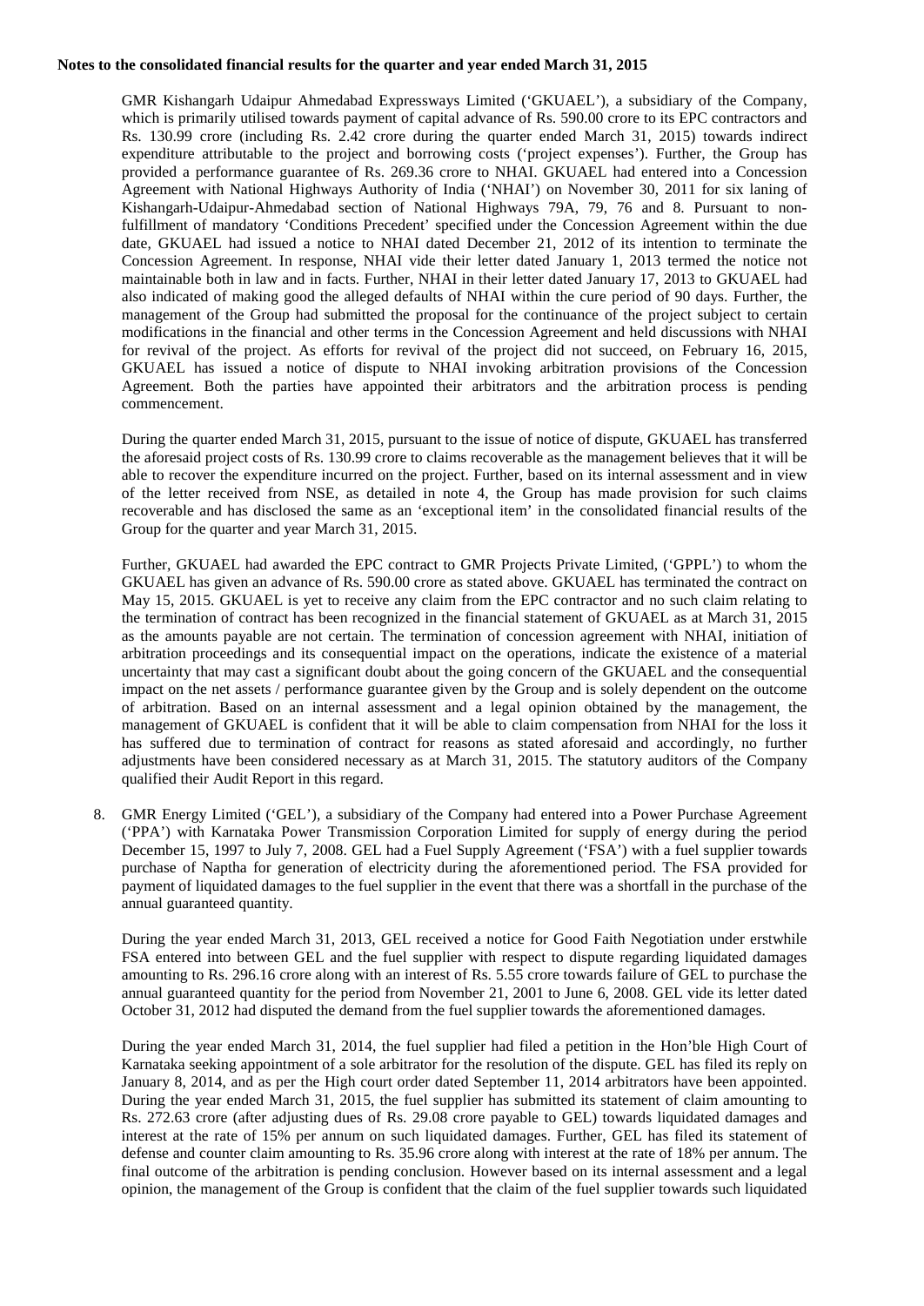GMR Kishangarh Udaipur Ahmedabad Expressways Limited ('GKUAEL'), a subsidiary of the Company, which is primarily utilised towards payment of capital advance of Rs. 590.00 crore to its EPC contractors and Rs. 130.99 crore (including Rs. 2.42 crore during the quarter ended March 31, 2015) towards indirect expenditure attributable to the project and borrowing costs ('project expenses'). Further, the Group has provided a performance guarantee of Rs. 269.36 crore to NHAI. GKUAEL had entered into a Concession Agreement with National Highways Authority of India ('NHAI') on November 30, 2011 for six laning of Kishangarh-Udaipur-Ahmedabad section of National Highways 79A, 79, 76 and 8. Pursuant to nonfulfillment of mandatory 'Conditions Precedent' specified under the Concession Agreement within the due date, GKUAEL had issued a notice to NHAI dated December 21, 2012 of its intention to terminate the Concession Agreement. In response, NHAI vide their letter dated January 1, 2013 termed the notice not maintainable both in law and in facts. Further, NHAI in their letter dated January 17, 2013 to GKUAEL had also indicated of making good the alleged defaults of NHAI within the cure period of 90 days. Further, the management of the Group had submitted the proposal for the continuance of the project subject to certain modifications in the financial and other terms in the Concession Agreement and held discussions with NHAI for revival of the project. As efforts for revival of the project did not succeed, on February 16, 2015, GKUAEL has issued a notice of dispute to NHAI invoking arbitration provisions of the Concession Agreement. Both the parties have appointed their arbitrators and the arbitration process is pending commencement.

During the quarter ended March 31, 2015, pursuant to the issue of notice of dispute, GKUAEL has transferred the aforesaid project costs of Rs. 130.99 crore to claims recoverable as the management believes that it will be able to recover the expenditure incurred on the project. Further, based on its internal assessment and in view of the letter received from NSE, as detailed in note 4, the Group has made provision for such claims recoverable and has disclosed the same as an 'exceptional item' in the consolidated financial results of the Group for the quarter and year March 31, 2015.

Further, GKUAEL had awarded the EPC contract to GMR Projects Private Limited, ('GPPL') to whom the GKUAEL has given an advance of Rs. 590.00 crore as stated above. GKUAEL has terminated the contract on May 15, 2015. GKUAEL is yet to receive any claim from the EPC contractor and no such claim relating to the termination of contract has been recognized in the financial statement of GKUAEL as at March 31, 2015 as the amounts payable are not certain. The termination of concession agreement with NHAI, initiation of arbitration proceedings and its consequential impact on the operations, indicate the existence of a material uncertainty that may cast a significant doubt about the going concern of the GKUAEL and the consequential impact on the net assets / performance guarantee given by the Group and is solely dependent on the outcome of arbitration. Based on an internal assessment and a legal opinion obtained by the management, the management of GKUAEL is confident that it will be able to claim compensation from NHAI for the loss it has suffered due to termination of contract for reasons as stated aforesaid and accordingly, no further adjustments have been considered necessary as at March 31, 2015. The statutory auditors of the Company qualified their Audit Report in this regard.

8. GMR Energy Limited ('GEL'), a subsidiary of the Company had entered into a Power Purchase Agreement ('PPA') with Karnataka Power Transmission Corporation Limited for supply of energy during the period December 15, 1997 to July 7, 2008. GEL had a Fuel Supply Agreement ('FSA') with a fuel supplier towards purchase of Naptha for generation of electricity during the aforementioned period. The FSA provided for payment of liquidated damages to the fuel supplier in the event that there was a shortfall in the purchase of the annual guaranteed quantity.

During the year ended March 31, 2013, GEL received a notice for Good Faith Negotiation under erstwhile FSA entered into between GEL and the fuel supplier with respect to dispute regarding liquidated damages amounting to Rs. 296.16 crore along with an interest of Rs. 5.55 crore towards failure of GEL to purchase the annual guaranteed quantity for the period from November 21, 2001 to June 6, 2008. GEL vide its letter dated October 31, 2012 had disputed the demand from the fuel supplier towards the aforementioned damages.

During the year ended March 31, 2014, the fuel supplier had filed a petition in the Hon'ble High Court of Karnataka seeking appointment of a sole arbitrator for the resolution of the dispute. GEL has filed its reply on January 8, 2014, and as per the High court order dated September 11, 2014 arbitrators have been appointed. During the year ended March 31, 2015, the fuel supplier has submitted its statement of claim amounting to Rs. 272.63 crore (after adjusting dues of Rs. 29.08 crore payable to GEL) towards liquidated damages and interest at the rate of 15% per annum on such liquidated damages. Further, GEL has filed its statement of defense and counter claim amounting to Rs. 35.96 crore along with interest at the rate of 18% per annum. The final outcome of the arbitration is pending conclusion. However based on its internal assessment and a legal opinion, the management of the Group is confident that the claim of the fuel supplier towards such liquidated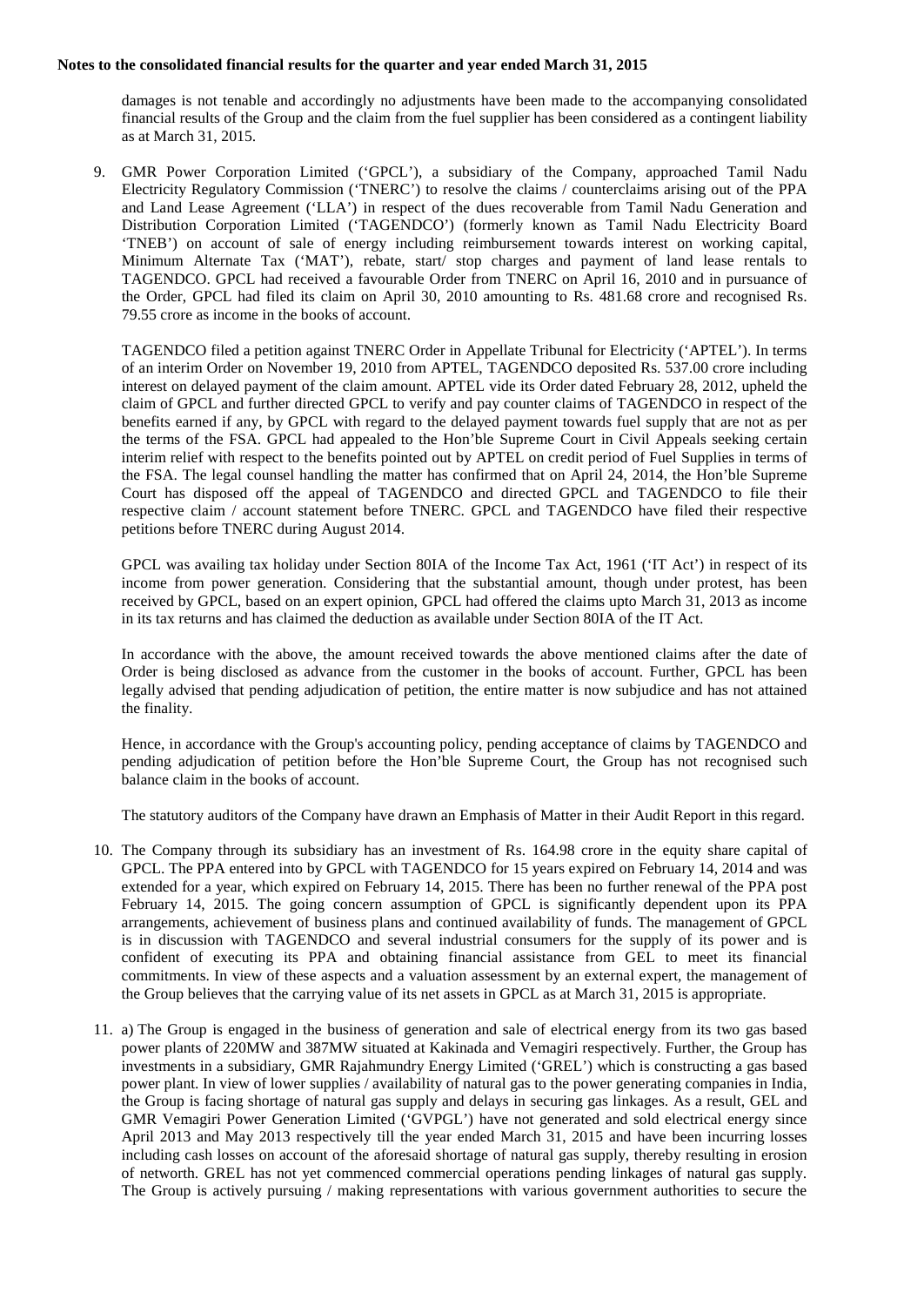damages is not tenable and accordingly no adjustments have been made to the accompanying consolidated financial results of the Group and the claim from the fuel supplier has been considered as a contingent liability as at March 31, 2015.

9. GMR Power Corporation Limited ('GPCL'), a subsidiary of the Company, approached Tamil Nadu Electricity Regulatory Commission ('TNERC') to resolve the claims / counterclaims arising out of the PPA and Land Lease Agreement ('LLA') in respect of the dues recoverable from Tamil Nadu Generation and Distribution Corporation Limited ('TAGENDCO') (formerly known as Tamil Nadu Electricity Board 'TNEB') on account of sale of energy including reimbursement towards interest on working capital, Minimum Alternate Tax ('MAT'), rebate, start/ stop charges and payment of land lease rentals to TAGENDCO. GPCL had received a favourable Order from TNERC on April 16, 2010 and in pursuance of the Order, GPCL had filed its claim on April 30, 2010 amounting to Rs. 481.68 crore and recognised Rs. 79.55 crore as income in the books of account.

TAGENDCO filed a petition against TNERC Order in Appellate Tribunal for Electricity ('APTEL'). In terms of an interim Order on November 19, 2010 from APTEL, TAGENDCO deposited Rs. 537.00 crore including interest on delayed payment of the claim amount. APTEL vide its Order dated February 28, 2012, upheld the claim of GPCL and further directed GPCL to verify and pay counter claims of TAGENDCO in respect of the benefits earned if any, by GPCL with regard to the delayed payment towards fuel supply that are not as per the terms of the FSA. GPCL had appealed to the Hon'ble Supreme Court in Civil Appeals seeking certain interim relief with respect to the benefits pointed out by APTEL on credit period of Fuel Supplies in terms of the FSA. The legal counsel handling the matter has confirmed that on April 24, 2014, the Hon'ble Supreme Court has disposed off the appeal of TAGENDCO and directed GPCL and TAGENDCO to file their respective claim / account statement before TNERC. GPCL and TAGENDCO have filed their respective petitions before TNERC during August 2014.

GPCL was availing tax holiday under Section 80IA of the Income Tax Act, 1961 ('IT Act') in respect of its income from power generation. Considering that the substantial amount, though under protest, has been received by GPCL, based on an expert opinion, GPCL had offered the claims upto March 31, 2013 as income in its tax returns and has claimed the deduction as available under Section 80IA of the IT Act.

In accordance with the above, the amount received towards the above mentioned claims after the date of Order is being disclosed as advance from the customer in the books of account. Further, GPCL has been legally advised that pending adjudication of petition, the entire matter is now subjudice and has not attained the finality.

Hence, in accordance with the Group's accounting policy, pending acceptance of claims by TAGENDCO and pending adjudication of petition before the Hon'ble Supreme Court, the Group has not recognised such balance claim in the books of account.

The statutory auditors of the Company have drawn an Emphasis of Matter in their Audit Report in this regard.

- 10. The Company through its subsidiary has an investment of Rs. 164.98 crore in the equity share capital of GPCL. The PPA entered into by GPCL with TAGENDCO for 15 years expired on February 14, 2014 and was extended for a year, which expired on February 14, 2015. There has been no further renewal of the PPA post February 14, 2015. The going concern assumption of GPCL is significantly dependent upon its PPA arrangements, achievement of business plans and continued availability of funds. The management of GPCL is in discussion with TAGENDCO and several industrial consumers for the supply of its power and is confident of executing its PPA and obtaining financial assistance from GEL to meet its financial commitments. In view of these aspects and a valuation assessment by an external expert, the management of the Group believes that the carrying value of its net assets in GPCL as at March 31, 2015 is appropriate.
- 11. a) The Group is engaged in the business of generation and sale of electrical energy from its two gas based power plants of 220MW and 387MW situated at Kakinada and Vemagiri respectively. Further, the Group has investments in a subsidiary, GMR Rajahmundry Energy Limited ('GREL') which is constructing a gas based power plant. In view of lower supplies / availability of natural gas to the power generating companies in India, the Group is facing shortage of natural gas supply and delays in securing gas linkages. As a result, GEL and GMR Vemagiri Power Generation Limited ('GVPGL') have not generated and sold electrical energy since April 2013 and May 2013 respectively till the year ended March 31, 2015 and have been incurring losses including cash losses on account of the aforesaid shortage of natural gas supply, thereby resulting in erosion of networth. GREL has not yet commenced commercial operations pending linkages of natural gas supply. The Group is actively pursuing / making representations with various government authorities to secure the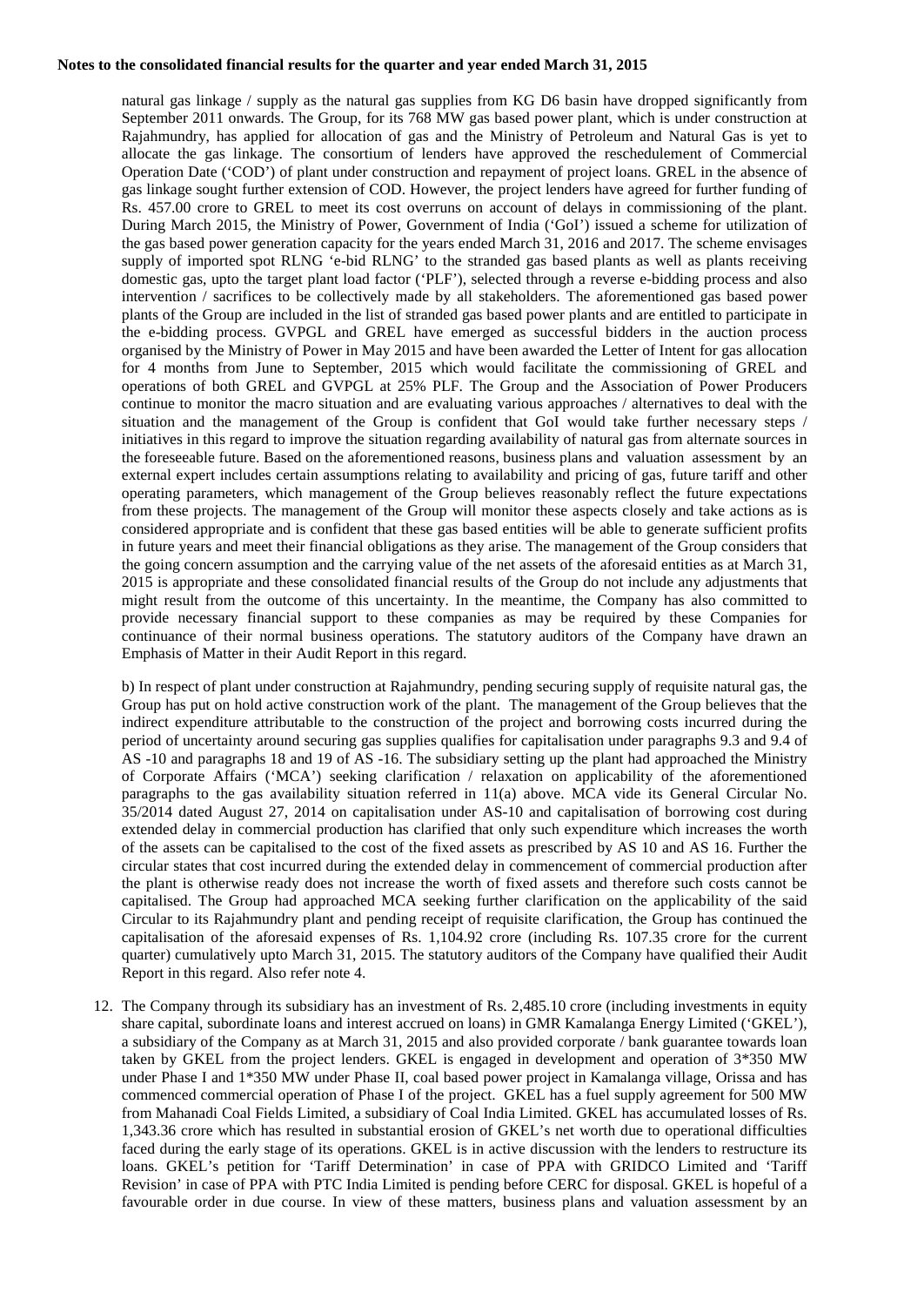natural gas linkage / supply as the natural gas supplies from KG D6 basin have dropped significantly from September 2011 onwards. The Group, for its 768 MW gas based power plant, which is under construction at Rajahmundry, has applied for allocation of gas and the Ministry of Petroleum and Natural Gas is yet to allocate the gas linkage. The consortium of lenders have approved the reschedulement of Commercial Operation Date ('COD') of plant under construction and repayment of project loans. GREL in the absence of gas linkage sought further extension of COD. However, the project lenders have agreed for further funding of Rs. 457.00 crore to GREL to meet its cost overruns on account of delays in commissioning of the plant. During March 2015, the Ministry of Power, Government of India ('GoI') issued a scheme for utilization of the gas based power generation capacity for the years ended March 31, 2016 and 2017. The scheme envisages supply of imported spot RLNG 'e-bid RLNG' to the stranded gas based plants as well as plants receiving domestic gas, upto the target plant load factor ('PLF'), selected through a reverse e-bidding process and also intervention / sacrifices to be collectively made by all stakeholders. The aforementioned gas based power plants of the Group are included in the list of stranded gas based power plants and are entitled to participate in the e-bidding process. GVPGL and GREL have emerged as successful bidders in the auction process organised by the Ministry of Power in May 2015 and have been awarded the Letter of Intent for gas allocation for 4 months from June to September, 2015 which would facilitate the commissioning of GREL and operations of both GREL and GVPGL at 25% PLF. The Group and the Association of Power Producers continue to monitor the macro situation and are evaluating various approaches / alternatives to deal with the situation and the management of the Group is confident that GoI would take further necessary steps / initiatives in this regard to improve the situation regarding availability of natural gas from alternate sources in the foreseeable future. Based on the aforementioned reasons, business plans and valuation assessment by an external expert includes certain assumptions relating to availability and pricing of gas, future tariff and other operating parameters, which management of the Group believes reasonably reflect the future expectations from these projects. The management of the Group will monitor these aspects closely and take actions as is considered appropriate and is confident that these gas based entities will be able to generate sufficient profits in future years and meet their financial obligations as they arise. The management of the Group considers that the going concern assumption and the carrying value of the net assets of the aforesaid entities as at March 31, 2015 is appropriate and these consolidated financial results of the Group do not include any adjustments that might result from the outcome of this uncertainty. In the meantime, the Company has also committed to provide necessary financial support to these companies as may be required by these Companies for continuance of their normal business operations. The statutory auditors of the Company have drawn an Emphasis of Matter in their Audit Report in this regard.

b) In respect of plant under construction at Rajahmundry, pending securing supply of requisite natural gas, the Group has put on hold active construction work of the plant. The management of the Group believes that the indirect expenditure attributable to the construction of the project and borrowing costs incurred during the period of uncertainty around securing gas supplies qualifies for capitalisation under paragraphs 9.3 and 9.4 of AS -10 and paragraphs 18 and 19 of AS -16. The subsidiary setting up the plant had approached the Ministry of Corporate Affairs ('MCA') seeking clarification / relaxation on applicability of the aforementioned paragraphs to the gas availability situation referred in 11(a) above. MCA vide its General Circular No. 35/2014 dated August 27, 2014 on capitalisation under AS-10 and capitalisation of borrowing cost during extended delay in commercial production has clarified that only such expenditure which increases the worth of the assets can be capitalised to the cost of the fixed assets as prescribed by AS 10 and AS 16. Further the circular states that cost incurred during the extended delay in commencement of commercial production after the plant is otherwise ready does not increase the worth of fixed assets and therefore such costs cannot be capitalised. The Group had approached MCA seeking further clarification on the applicability of the said Circular to its Rajahmundry plant and pending receipt of requisite clarification, the Group has continued the capitalisation of the aforesaid expenses of Rs. 1,104.92 crore (including Rs. 107.35 crore for the current quarter) cumulatively upto March 31, 2015. The statutory auditors of the Company have qualified their Audit Report in this regard. Also refer note 4.

12. The Company through its subsidiary has an investment of Rs. 2,485.10 crore (including investments in equity share capital, subordinate loans and interest accrued on loans) in GMR Kamalanga Energy Limited ('GKEL'), a subsidiary of the Company as at March 31, 2015 and also provided corporate / bank guarantee towards loan taken by GKEL from the project lenders. GKEL is engaged in development and operation of 3\*350 MW under Phase I and 1\*350 MW under Phase II, coal based power project in Kamalanga village, Orissa and has commenced commercial operation of Phase I of the project. GKEL has a fuel supply agreement for 500 MW from Mahanadi Coal Fields Limited, a subsidiary of Coal India Limited. GKEL has accumulated losses of Rs. 1,343.36 crore which has resulted in substantial erosion of GKEL's net worth due to operational difficulties faced during the early stage of its operations. GKEL is in active discussion with the lenders to restructure its loans. GKEL's petition for 'Tariff Determination' in case of PPA with GRIDCO Limited and 'Tariff Revision' in case of PPA with PTC India Limited is pending before CERC for disposal. GKEL is hopeful of a favourable order in due course. In view of these matters, business plans and valuation assessment by an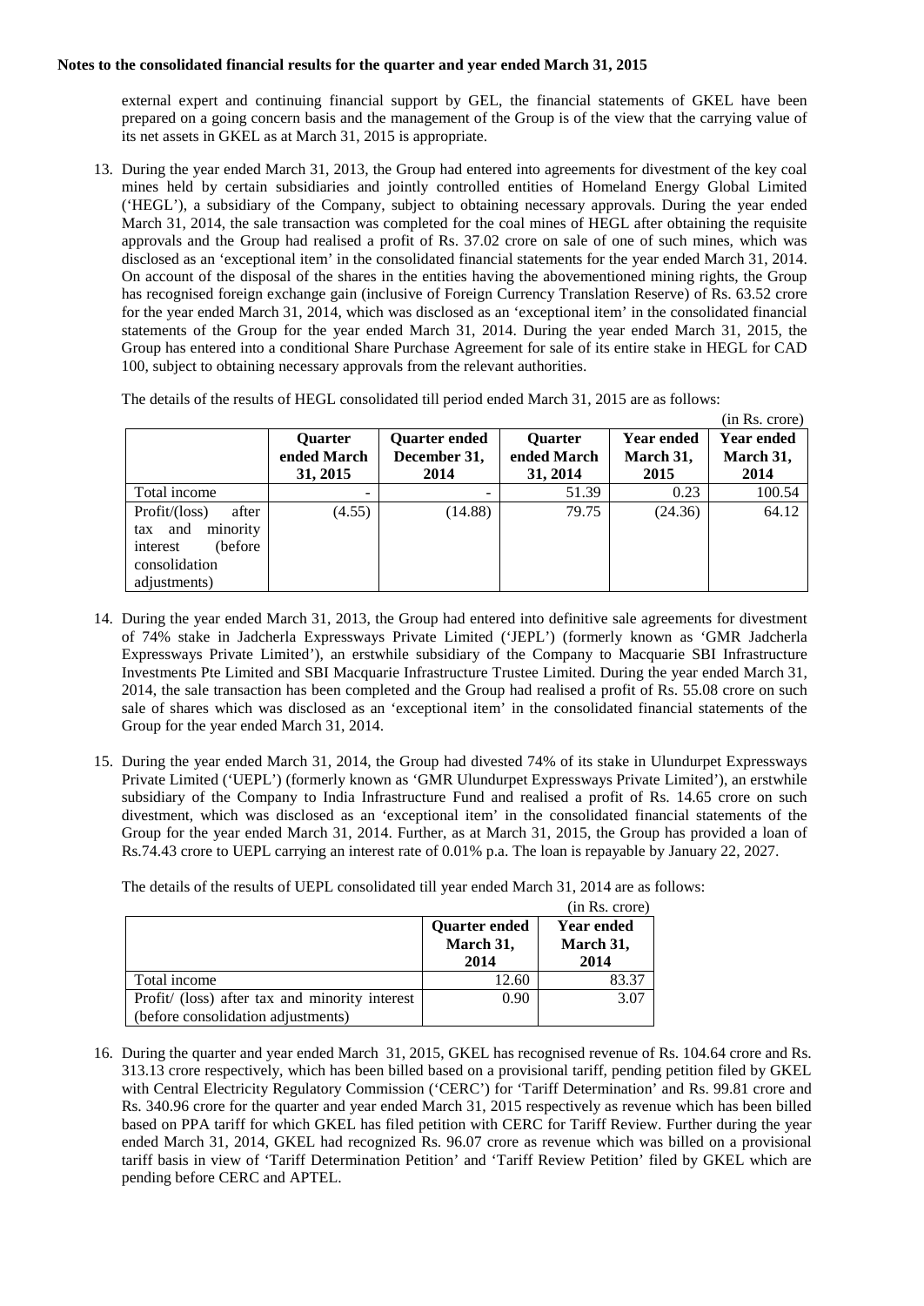external expert and continuing financial support by GEL, the financial statements of GKEL have been prepared on a going concern basis and the management of the Group is of the view that the carrying value of its net assets in GKEL as at March 31, 2015 is appropriate.

13. During the year ended March 31, 2013, the Group had entered into agreements for divestment of the key coal mines held by certain subsidiaries and jointly controlled entities of Homeland Energy Global Limited ('HEGL'), a subsidiary of the Company, subject to obtaining necessary approvals. During the year ended March 31, 2014, the sale transaction was completed for the coal mines of HEGL after obtaining the requisite approvals and the Group had realised a profit of Rs. 37.02 crore on sale of one of such mines, which was disclosed as an 'exceptional item' in the consolidated financial statements for the year ended March 31, 2014. On account of the disposal of the shares in the entities having the abovementioned mining rights, the Group has recognised foreign exchange gain (inclusive of Foreign Currency Translation Reserve) of Rs. 63.52 crore for the year ended March 31, 2014, which was disclosed as an 'exceptional item' in the consolidated financial statements of the Group for the year ended March 31, 2014. During the year ended March 31, 2015, the Group has entered into a conditional Share Purchase Agreement for sale of its entire stake in HEGL for CAD 100, subject to obtaining necessary approvals from the relevant authorities.

The details of the results of HEGL consolidated till period ended March 31, 2015 are as follows:

|                                                                                                         |                                           |                                              |                                           |                                        | (in Rs. crore)                         |
|---------------------------------------------------------------------------------------------------------|-------------------------------------------|----------------------------------------------|-------------------------------------------|----------------------------------------|----------------------------------------|
|                                                                                                         | <b>Ouarter</b><br>ended March<br>31, 2015 | <b>Ouarter ended</b><br>December 31,<br>2014 | <b>Ouarter</b><br>ended March<br>31, 2014 | <b>Year ended</b><br>March 31,<br>2015 | <b>Year ended</b><br>March 31,<br>2014 |
| Total income                                                                                            |                                           |                                              | 51.39                                     | 0.23                                   | 100.54                                 |
| Profit/ (loss)<br>after<br>minority<br>tax and<br>(before)<br>interest<br>consolidation<br>adjustments) | (4.55)                                    | (14.88)                                      | 79.75                                     | (24.36)                                | 64.12                                  |

- 14. During the year ended March 31, 2013, the Group had entered into definitive sale agreements for divestment of 74% stake in Jadcherla Expressways Private Limited ('JEPL') (formerly known as 'GMR Jadcherla Expressways Private Limited'), an erstwhile subsidiary of the Company to Macquarie SBI Infrastructure Investments Pte Limited and SBI Macquarie Infrastructure Trustee Limited. During the year ended March 31, 2014, the sale transaction has been completed and the Group had realised a profit of Rs. 55.08 crore on such sale of shares which was disclosed as an 'exceptional item' in the consolidated financial statements of the Group for the year ended March 31, 2014.
- 15. During the year ended March 31, 2014, the Group had divested 74% of its stake in Ulundurpet Expressways Private Limited ('UEPL') (formerly known as 'GMR Ulundurpet Expressways Private Limited'), an erstwhile subsidiary of the Company to India Infrastructure Fund and realised a profit of Rs. 14.65 crore on such divestment, which was disclosed as an 'exceptional item' in the consolidated financial statements of the Group for the year ended March 31, 2014. Further, as at March 31, 2015, the Group has provided a loan of Rs.74.43 crore to UEPL carrying an interest rate of 0.01% p.a. The loan is repayable by January 22, 2027.

|                                                                                      |                                           | (in Rs. crore)                         |
|--------------------------------------------------------------------------------------|-------------------------------------------|----------------------------------------|
|                                                                                      | <b>Quarter ended</b><br>March 31,<br>2014 | <b>Year ended</b><br>March 31,<br>2014 |
| Total income                                                                         | 12.60                                     | 83.37                                  |
| Profit/ (loss) after tax and minority interest<br>(before consolidation adjustments) | 0.90                                      | 3.07                                   |

16. During the quarter and year ended March 31, 2015, GKEL has recognised revenue of Rs. 104.64 crore and Rs. 313.13 crore respectively, which has been billed based on a provisional tariff, pending petition filed by GKEL with Central Electricity Regulatory Commission ('CERC') for 'Tariff Determination' and Rs. 99.81 crore and Rs. 340.96 crore for the quarter and year ended March 31, 2015 respectively as revenue which has been billed based on PPA tariff for which GKEL has filed petition with CERC for Tariff Review. Further during the year ended March 31, 2014, GKEL had recognized Rs. 96.07 crore as revenue which was billed on a provisional tariff basis in view of 'Tariff Determination Petition' and 'Tariff Review Petition' filed by GKEL which are pending before CERC and APTEL.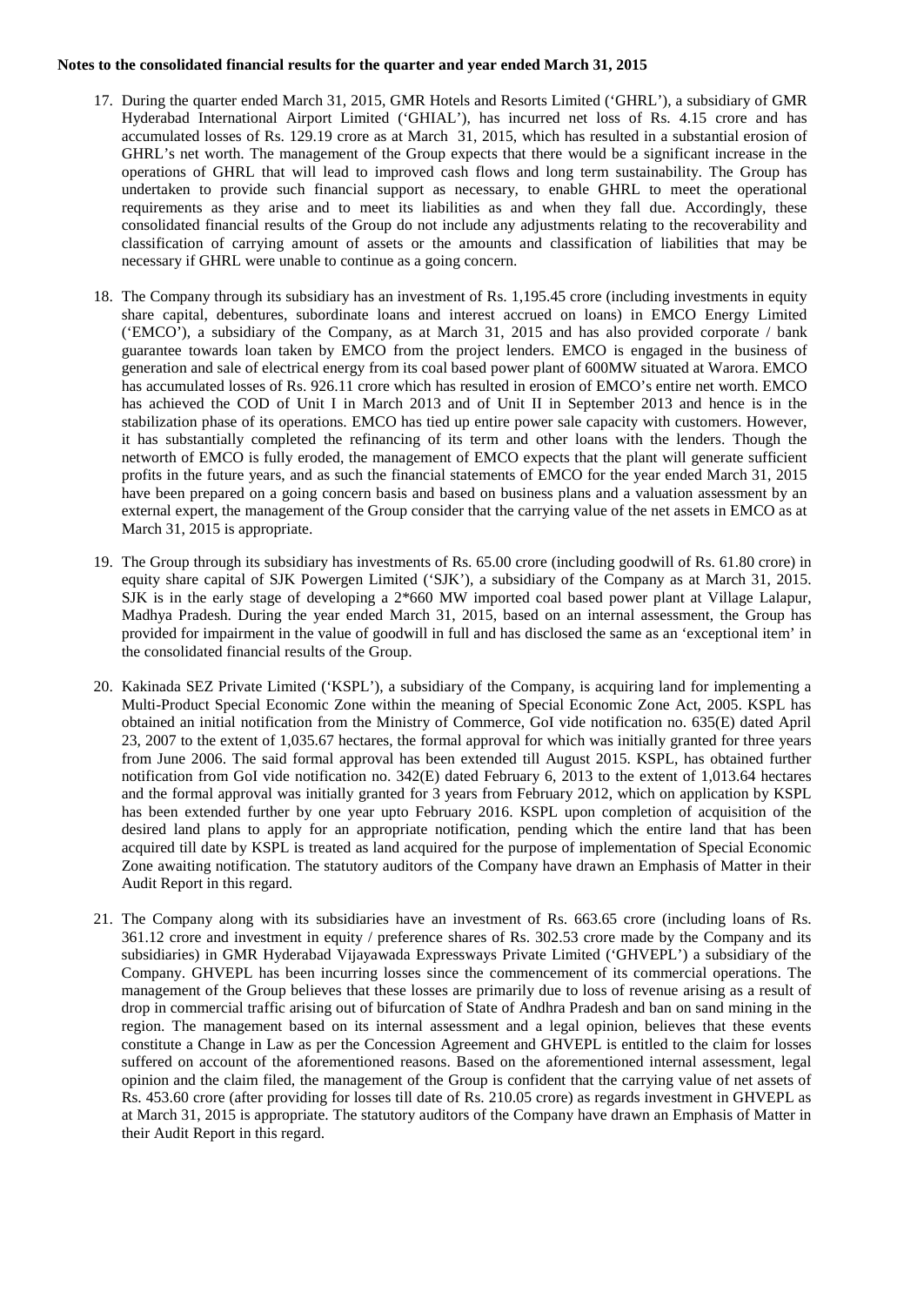- 17. During the quarter ended March 31, 2015, GMR Hotels and Resorts Limited ('GHRL'), a subsidiary of GMR Hyderabad International Airport Limited ('GHIAL'), has incurred net loss of Rs. 4.15 crore and has accumulated losses of Rs. 129.19 crore as at March 31, 2015, which has resulted in a substantial erosion of GHRL's net worth. The management of the Group expects that there would be a significant increase in the operations of GHRL that will lead to improved cash flows and long term sustainability. The Group has undertaken to provide such financial support as necessary, to enable GHRL to meet the operational requirements as they arise and to meet its liabilities as and when they fall due. Accordingly, these consolidated financial results of the Group do not include any adjustments relating to the recoverability and classification of carrying amount of assets or the amounts and classification of liabilities that may be necessary if GHRL were unable to continue as a going concern.
- 18. The Company through its subsidiary has an investment of Rs. 1,195.45 crore (including investments in equity share capital, debentures, subordinate loans and interest accrued on loans) in EMCO Energy Limited ('EMCO'), a subsidiary of the Company, as at March 31, 2015 and has also provided corporate / bank guarantee towards loan taken by EMCO from the project lenders. EMCO is engaged in the business of generation and sale of electrical energy from its coal based power plant of 600MW situated at Warora. EMCO has accumulated losses of Rs. 926.11 crore which has resulted in erosion of EMCO's entire net worth. EMCO has achieved the COD of Unit I in March 2013 and of Unit II in September 2013 and hence is in the stabilization phase of its operations. EMCO has tied up entire power sale capacity with customers. However, it has substantially completed the refinancing of its term and other loans with the lenders. Though the networth of EMCO is fully eroded, the management of EMCO expects that the plant will generate sufficient profits in the future years, and as such the financial statements of EMCO for the year ended March 31, 2015 have been prepared on a going concern basis and based on business plans and a valuation assessment by an external expert, the management of the Group consider that the carrying value of the net assets in EMCO as at March 31, 2015 is appropriate.
- 19. The Group through its subsidiary has investments of Rs. 65.00 crore (including goodwill of Rs. 61.80 crore) in equity share capital of SJK Powergen Limited ('SJK'), a subsidiary of the Company as at March 31, 2015. SJK is in the early stage of developing a 2\*660 MW imported coal based power plant at Village Lalapur, Madhya Pradesh. During the year ended March 31, 2015, based on an internal assessment, the Group has provided for impairment in the value of goodwill in full and has disclosed the same as an 'exceptional item' in the consolidated financial results of the Group.
- 20. Kakinada SEZ Private Limited ('KSPL'), a subsidiary of the Company, is acquiring land for implementing a Multi-Product Special Economic Zone within the meaning of Special Economic Zone Act, 2005. KSPL has obtained an initial notification from the Ministry of Commerce, GoI vide notification no. 635(E) dated April 23, 2007 to the extent of 1,035.67 hectares, the formal approval for which was initially granted for three years from June 2006. The said formal approval has been extended till August 2015. KSPL, has obtained further notification from GoI vide notification no. 342(E) dated February 6, 2013 to the extent of 1,013.64 hectares and the formal approval was initially granted for 3 years from February 2012, which on application by KSPL has been extended further by one year upto February 2016. KSPL upon completion of acquisition of the desired land plans to apply for an appropriate notification, pending which the entire land that has been acquired till date by KSPL is treated as land acquired for the purpose of implementation of Special Economic Zone awaiting notification. The statutory auditors of the Company have drawn an Emphasis of Matter in their Audit Report in this regard.
- 21. The Company along with its subsidiaries have an investment of Rs. 663.65 crore (including loans of Rs. 361.12 crore and investment in equity / preference shares of Rs. 302.53 crore made by the Company and its subsidiaries) in GMR Hyderabad Vijayawada Expressways Private Limited ('GHVEPL') a subsidiary of the Company. GHVEPL has been incurring losses since the commencement of its commercial operations. The management of the Group believes that these losses are primarily due to loss of revenue arising as a result of drop in commercial traffic arising out of bifurcation of State of Andhra Pradesh and ban on sand mining in the region. The management based on its internal assessment and a legal opinion, believes that these events constitute a Change in Law as per the Concession Agreement and GHVEPL is entitled to the claim for losses suffered on account of the aforementioned reasons. Based on the aforementioned internal assessment, legal opinion and the claim filed, the management of the Group is confident that the carrying value of net assets of Rs. 453.60 crore (after providing for losses till date of Rs. 210.05 crore) as regards investment in GHVEPL as at March 31, 2015 is appropriate. The statutory auditors of the Company have drawn an Emphasis of Matter in their Audit Report in this regard.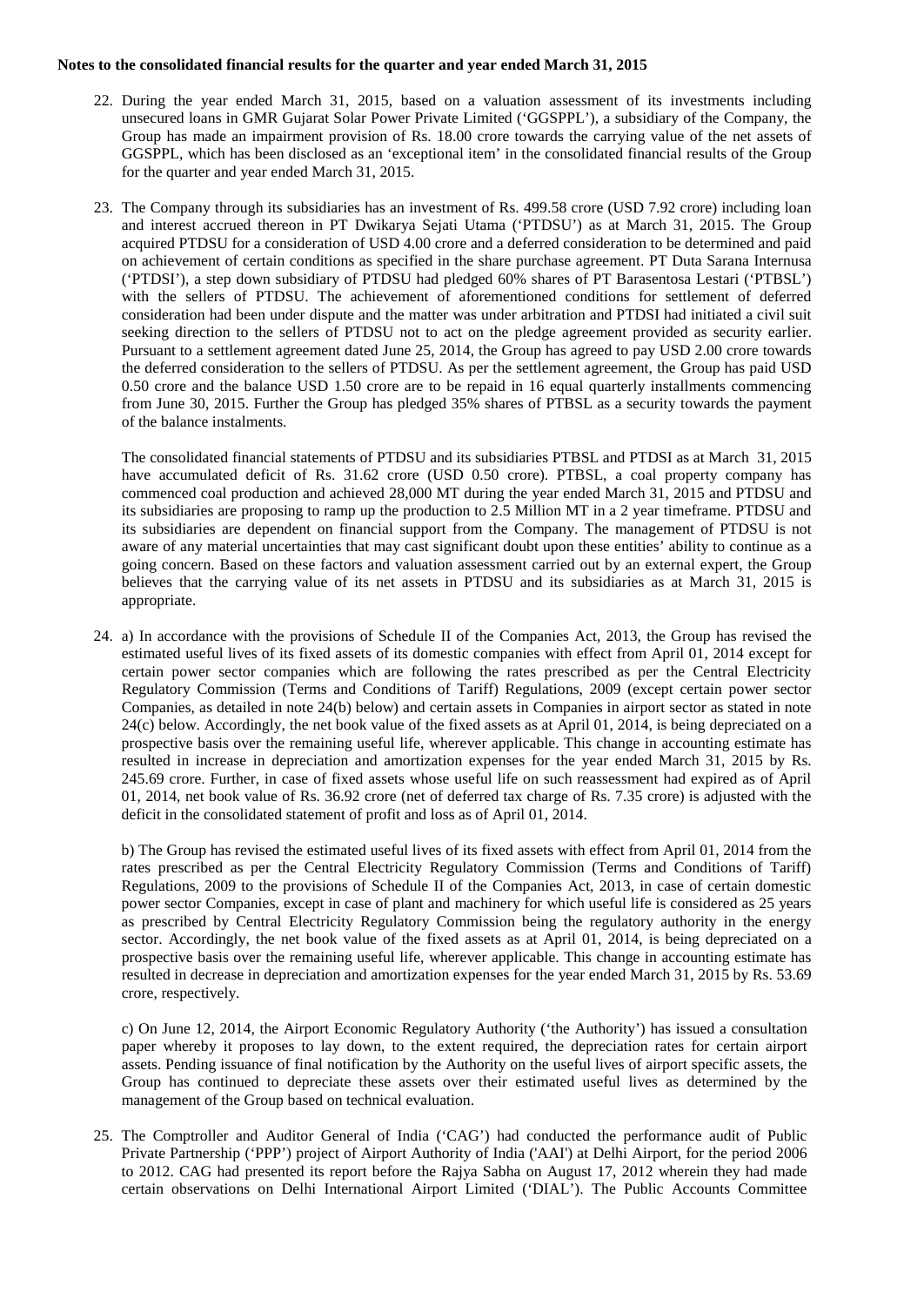- 22. During the year ended March 31, 2015, based on a valuation assessment of its investments including unsecured loans in GMR Gujarat Solar Power Private Limited ('GGSPPL'), a subsidiary of the Company, the Group has made an impairment provision of Rs. 18.00 crore towards the carrying value of the net assets of GGSPPL, which has been disclosed as an 'exceptional item' in the consolidated financial results of the Group for the quarter and year ended March 31, 2015.
- 23. The Company through its subsidiaries has an investment of Rs. 499.58 crore (USD 7.92 crore) including loan and interest accrued thereon in PT Dwikarya Sejati Utama ('PTDSU') as at March 31, 2015. The Group acquired PTDSU for a consideration of USD 4.00 crore and a deferred consideration to be determined and paid on achievement of certain conditions as specified in the share purchase agreement. PT Duta Sarana Internusa ('PTDSI'), a step down subsidiary of PTDSU had pledged 60% shares of PT Barasentosa Lestari ('PTBSL') with the sellers of PTDSU. The achievement of aforementioned conditions for settlement of deferred consideration had been under dispute and the matter was under arbitration and PTDSI had initiated a civil suit seeking direction to the sellers of PTDSU not to act on the pledge agreement provided as security earlier. Pursuant to a settlement agreement dated June 25, 2014, the Group has agreed to pay USD 2.00 crore towards the deferred consideration to the sellers of PTDSU. As per the settlement agreement, the Group has paid USD 0.50 crore and the balance USD 1.50 crore are to be repaid in 16 equal quarterly installments commencing from June 30, 2015. Further the Group has pledged 35% shares of PTBSL as a security towards the payment of the balance instalments.

The consolidated financial statements of PTDSU and its subsidiaries PTBSL and PTDSI as at March 31, 2015 have accumulated deficit of Rs. 31.62 crore (USD 0.50 crore). PTBSL, a coal property company has commenced coal production and achieved 28,000 MT during the year ended March 31, 2015 and PTDSU and its subsidiaries are proposing to ramp up the production to 2.5 Million MT in a 2 year timeframe. PTDSU and its subsidiaries are dependent on financial support from the Company. The management of PTDSU is not aware of any material uncertainties that may cast significant doubt upon these entities' ability to continue as a going concern. Based on these factors and valuation assessment carried out by an external expert, the Group believes that the carrying value of its net assets in PTDSU and its subsidiaries as at March 31, 2015 is appropriate.

24. a) In accordance with the provisions of Schedule II of the Companies Act, 2013, the Group has revised the estimated useful lives of its fixed assets of its domestic companies with effect from April 01, 2014 except for certain power sector companies which are following the rates prescribed as per the Central Electricity Regulatory Commission (Terms and Conditions of Tariff) Regulations, 2009 (except certain power sector Companies, as detailed in note 24(b) below) and certain assets in Companies in airport sector as stated in note  $24(c)$  below. Accordingly, the net book value of the fixed assets as at April 01, 2014, is being depreciated on a prospective basis over the remaining useful life, wherever applicable. This change in accounting estimate has resulted in increase in depreciation and amortization expenses for the year ended March 31, 2015 by Rs. 245.69 crore. Further, in case of fixed assets whose useful life on such reassessment had expired as of April 01, 2014, net book value of Rs. 36.92 crore (net of deferred tax charge of Rs. 7.35 crore) is adjusted with the deficit in the consolidated statement of profit and loss as of April 01, 2014.

b) The Group has revised the estimated useful lives of its fixed assets with effect from April 01, 2014 from the rates prescribed as per the Central Electricity Regulatory Commission (Terms and Conditions of Tariff) Regulations, 2009 to the provisions of Schedule II of the Companies Act, 2013, in case of certain domestic power sector Companies, except in case of plant and machinery for which useful life is considered as 25 years as prescribed by Central Electricity Regulatory Commission being the regulatory authority in the energy sector. Accordingly, the net book value of the fixed assets as at April 01, 2014, is being depreciated on a prospective basis over the remaining useful life, wherever applicable. This change in accounting estimate has resulted in decrease in depreciation and amortization expenses for the year ended March 31, 2015 by Rs. 53.69 crore, respectively.

c) On June 12, 2014, the Airport Economic Regulatory Authority ('the Authority') has issued a consultation paper whereby it proposes to lay down, to the extent required, the depreciation rates for certain airport assets. Pending issuance of final notification by the Authority on the useful lives of airport specific assets, the Group has continued to depreciate these assets over their estimated useful lives as determined by the management of the Group based on technical evaluation.

25. The Comptroller and Auditor General of India ('CAG') had conducted the performance audit of Public Private Partnership ('PPP') project of Airport Authority of India ('AAI') at Delhi Airport, for the period 2006 to 2012. CAG had presented its report before the Rajya Sabha on August 17, 2012 wherein they had made certain observations on Delhi International Airport Limited ('DIAL'). The Public Accounts Committee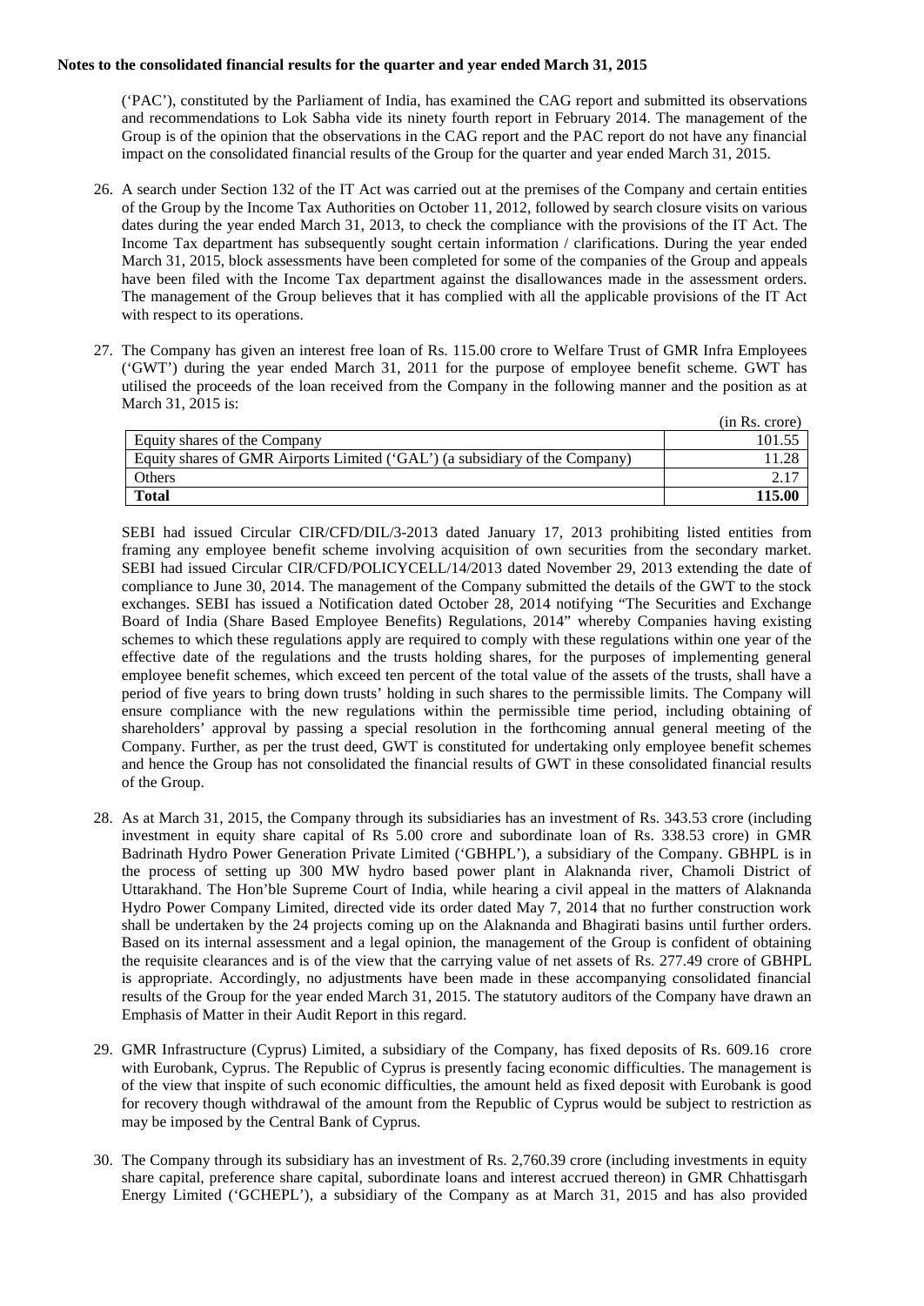('PAC'), constituted by the Parliament of India, has examined the CAG report and submitted its observations and recommendations to Lok Sabha vide its ninety fourth report in February 2014. The management of the Group is of the opinion that the observations in the CAG report and the PAC report do not have any financial impact on the consolidated financial results of the Group for the quarter and year ended March 31, 2015.

- 26. A search under Section 132 of the IT Act was carried out at the premises of the Company and certain entities of the Group by the Income Tax Authorities on October 11, 2012, followed by search closure visits on various dates during the year ended March 31, 2013, to check the compliance with the provisions of the IT Act. The Income Tax department has subsequently sought certain information / clarifications. During the year ended March 31, 2015, block assessments have been completed for some of the companies of the Group and appeals have been filed with the Income Tax department against the disallowances made in the assessment orders. The management of the Group believes that it has complied with all the applicable provisions of the IT Act with respect to its operations.
- 27. The Company has given an interest free loan of Rs. 115.00 crore to Welfare Trust of GMR Infra Employees ('GWT') during the year ended March 31, 2011 for the purpose of employee benefit scheme. GWT has utilised the proceeds of the loan received from the Company in the following manner and the position as at March 31, 2015 is:

|                                                                             | (in Rs. crore) |
|-----------------------------------------------------------------------------|----------------|
| Equity shares of the Company                                                | 101.55         |
| Equity shares of GMR Airports Limited ('GAL') (a subsidiary of the Company) |                |
| <b>Others</b>                                                               |                |
| <b>Total</b>                                                                | 115.00         |

SEBI had issued Circular CIR/CFD/DIL/3-2013 dated January 17, 2013 prohibiting listed entities from framing any employee benefit scheme involving acquisition of own securities from the secondary market. SEBI had issued Circular CIR/CFD/POLICYCELL/14/2013 dated November 29, 2013 extending the date of compliance to June 30, 2014. The management of the Company submitted the details of the GWT to the stock exchanges. SEBI has issued a Notification dated October 28, 2014 notifying "The Securities and Exchange Board of India (Share Based Employee Benefits) Regulations, 2014" whereby Companies having existing schemes to which these regulations apply are required to comply with these regulations within one year of the effective date of the regulations and the trusts holding shares, for the purposes of implementing general employee benefit schemes, which exceed ten percent of the total value of the assets of the trusts, shall have a period of five years to bring down trusts' holding in such shares to the permissible limits. The Company will ensure compliance with the new regulations within the permissible time period, including obtaining of shareholders' approval by passing a special resolution in the forthcoming annual general meeting of the Company. Further, as per the trust deed, GWT is constituted for undertaking only employee benefit schemes and hence the Group has not consolidated the financial results of GWT in these consolidated financial results of the Group.

- 28. As at March 31, 2015, the Company through its subsidiaries has an investment of Rs. 343.53 crore (including investment in equity share capital of Rs 5.00 crore and subordinate loan of Rs. 338.53 crore) in GMR Badrinath Hydro Power Generation Private Limited ('GBHPL'), a subsidiary of the Company. GBHPL is in the process of setting up 300 MW hydro based power plant in Alaknanda river, Chamoli District of Uttarakhand. The Hon'ble Supreme Court of India, while hearing a civil appeal in the matters of Alaknanda Hydro Power Company Limited, directed vide its order dated May 7, 2014 that no further construction work shall be undertaken by the 24 projects coming up on the Alaknanda and Bhagirati basins until further orders. Based on its internal assessment and a legal opinion, the management of the Group is confident of obtaining the requisite clearances and is of the view that the carrying value of net assets of Rs. 277.49 crore of GBHPL is appropriate. Accordingly, no adjustments have been made in these accompanying consolidated financial results of the Group for the year ended March 31, 2015. The statutory auditors of the Company have drawn an Emphasis of Matter in their Audit Report in this regard.
- 29. GMR Infrastructure (Cyprus) Limited, a subsidiary of the Company, has fixed deposits of Rs. 609.16 crore with Eurobank, Cyprus. The Republic of Cyprus is presently facing economic difficulties. The management is of the view that inspite of such economic difficulties, the amount held as fixed deposit with Eurobank is good for recovery though withdrawal of the amount from the Republic of Cyprus would be subject to restriction as may be imposed by the Central Bank of Cyprus.
- 30. The Company through its subsidiary has an investment of Rs. 2,760.39 crore (including investments in equity share capital, preference share capital, subordinate loans and interest accrued thereon) in GMR Chhattisgarh Energy Limited ('GCHEPL'), a subsidiary of the Company as at March 31, 2015 and has also provided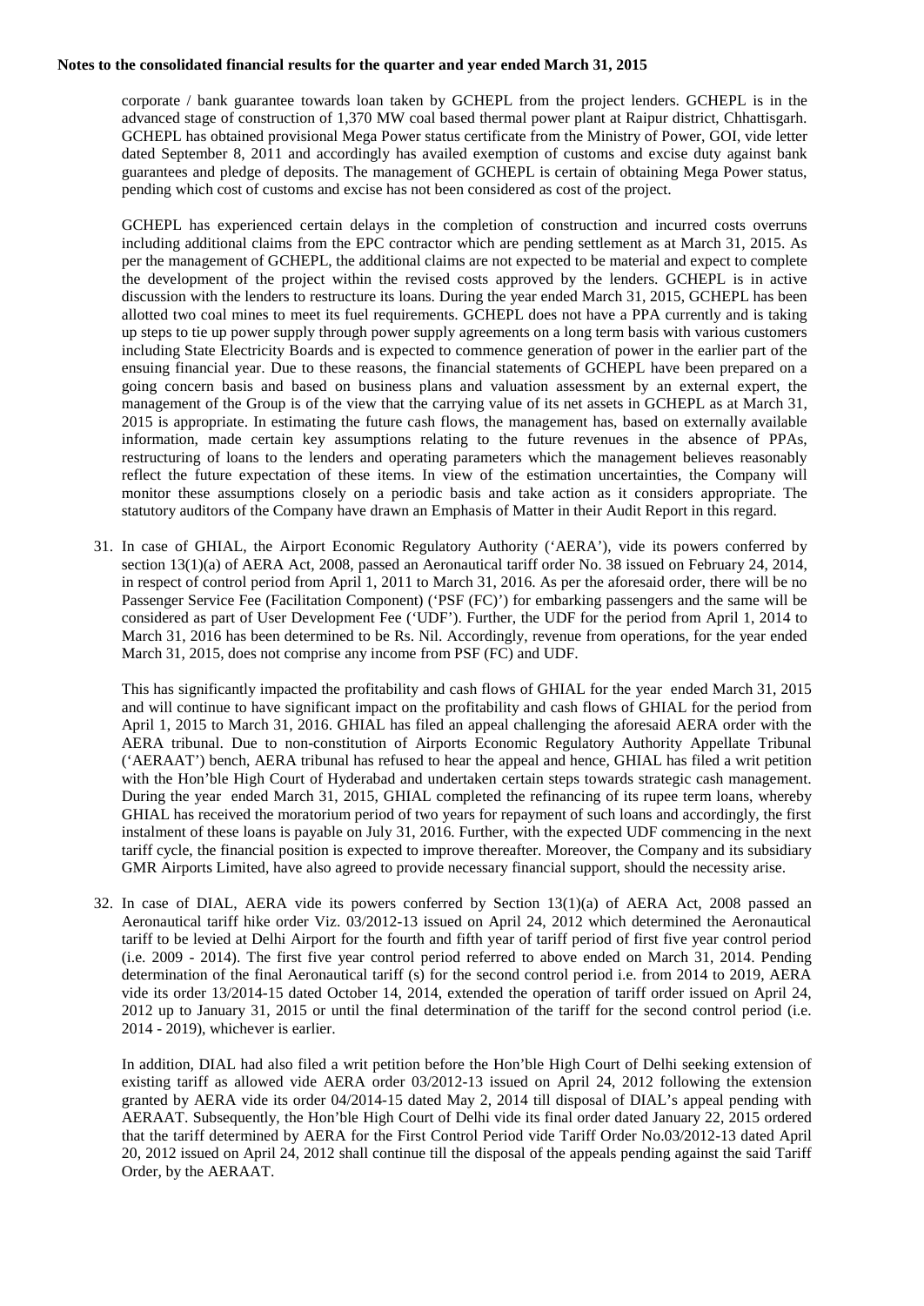corporate / bank guarantee towards loan taken by GCHEPL from the project lenders. GCHEPL is in the advanced stage of construction of 1,370 MW coal based thermal power plant at Raipur district, Chhattisgarh. GCHEPL has obtained provisional Mega Power status certificate from the Ministry of Power, GOI, vide letter dated September 8, 2011 and accordingly has availed exemption of customs and excise duty against bank guarantees and pledge of deposits. The management of GCHEPL is certain of obtaining Mega Power status, pending which cost of customs and excise has not been considered as cost of the project.

GCHEPL has experienced certain delays in the completion of construction and incurred costs overruns including additional claims from the EPC contractor which are pending settlement as at March 31, 2015. As per the management of GCHEPL, the additional claims are not expected to be material and expect to complete the development of the project within the revised costs approved by the lenders. GCHEPL is in active discussion with the lenders to restructure its loans. During the year ended March 31, 2015, GCHEPL has been allotted two coal mines to meet its fuel requirements. GCHEPL does not have a PPA currently and is taking up steps to tie up power supply through power supply agreements on a long term basis with various customers including State Electricity Boards and is expected to commence generation of power in the earlier part of the ensuing financial year. Due to these reasons, the financial statements of GCHEPL have been prepared on a going concern basis and based on business plans and valuation assessment by an external expert, the management of the Group is of the view that the carrying value of its net assets in GCHEPL as at March 31, 2015 is appropriate. In estimating the future cash flows, the management has, based on externally available information, made certain key assumptions relating to the future revenues in the absence of PPAs, restructuring of loans to the lenders and operating parameters which the management believes reasonably reflect the future expectation of these items. In view of the estimation uncertainties, the Company will monitor these assumptions closely on a periodic basis and take action as it considers appropriate. The statutory auditors of the Company have drawn an Emphasis of Matter in their Audit Report in this regard.

31. In case of GHIAL, the Airport Economic Regulatory Authority ('AERA'), vide its powers conferred by section 13(1)(a) of AERA Act, 2008, passed an Aeronautical tariff order No. 38 issued on February 24, 2014, in respect of control period from April 1, 2011 to March 31, 2016. As per the aforesaid order, there will be no Passenger Service Fee (Facilitation Component) ('PSF (FC)') for embarking passengers and the same will be considered as part of User Development Fee ('UDF'). Further, the UDF for the period from April 1, 2014 to March 31, 2016 has been determined to be Rs. Nil. Accordingly, revenue from operations, for the year ended March 31, 2015, does not comprise any income from PSF (FC) and UDF.

This has significantly impacted the profitability and cash flows of GHIAL for the year ended March 31, 2015 and will continue to have significant impact on the profitability and cash flows of GHIAL for the period from April 1, 2015 to March 31, 2016. GHIAL has filed an appeal challenging the aforesaid AERA order with the AERA tribunal. Due to non-constitution of Airports Economic Regulatory Authority Appellate Tribunal ('AERAAT') bench, AERA tribunal has refused to hear the appeal and hence, GHIAL has filed a writ petition with the Hon'ble High Court of Hyderabad and undertaken certain steps towards strategic cash management. During the year ended March 31, 2015, GHIAL completed the refinancing of its rupee term loans, whereby GHIAL has received the moratorium period of two years for repayment of such loans and accordingly, the first instalment of these loans is payable on July 31, 2016. Further, with the expected UDF commencing in the next tariff cycle, the financial position is expected to improve thereafter. Moreover, the Company and its subsidiary GMR Airports Limited, have also agreed to provide necessary financial support, should the necessity arise.

32. In case of DIAL, AERA vide its powers conferred by Section 13(1)(a) of AERA Act, 2008 passed an Aeronautical tariff hike order Viz. 03/2012-13 issued on April 24, 2012 which determined the Aeronautical tariff to be levied at Delhi Airport for the fourth and fifth year of tariff period of first five year control period (i.e. 2009 - 2014). The first five year control period referred to above ended on March 31, 2014. Pending determination of the final Aeronautical tariff (s) for the second control period i.e. from 2014 to 2019, AERA vide its order 13/2014-15 dated October 14, 2014, extended the operation of tariff order issued on April 24, 2012 up to January 31, 2015 or until the final determination of the tariff for the second control period (i.e. 2014 - 2019), whichever is earlier.

In addition, DIAL had also filed a writ petition before the Hon'ble High Court of Delhi seeking extension of existing tariff as allowed vide AERA order 03/2012-13 issued on April 24, 2012 following the extension granted by AERA vide its order 04/2014-15 dated May 2, 2014 till disposal of DIAL's appeal pending with AERAAT. Subsequently, the Hon'ble High Court of Delhi vide its final order dated January 22, 2015 ordered that the tariff determined by AERA for the First Control Period vide Tariff Order No.03/2012-13 dated April 20, 2012 issued on April 24, 2012 shall continue till the disposal of the appeals pending against the said Tariff Order, by the AERAAT.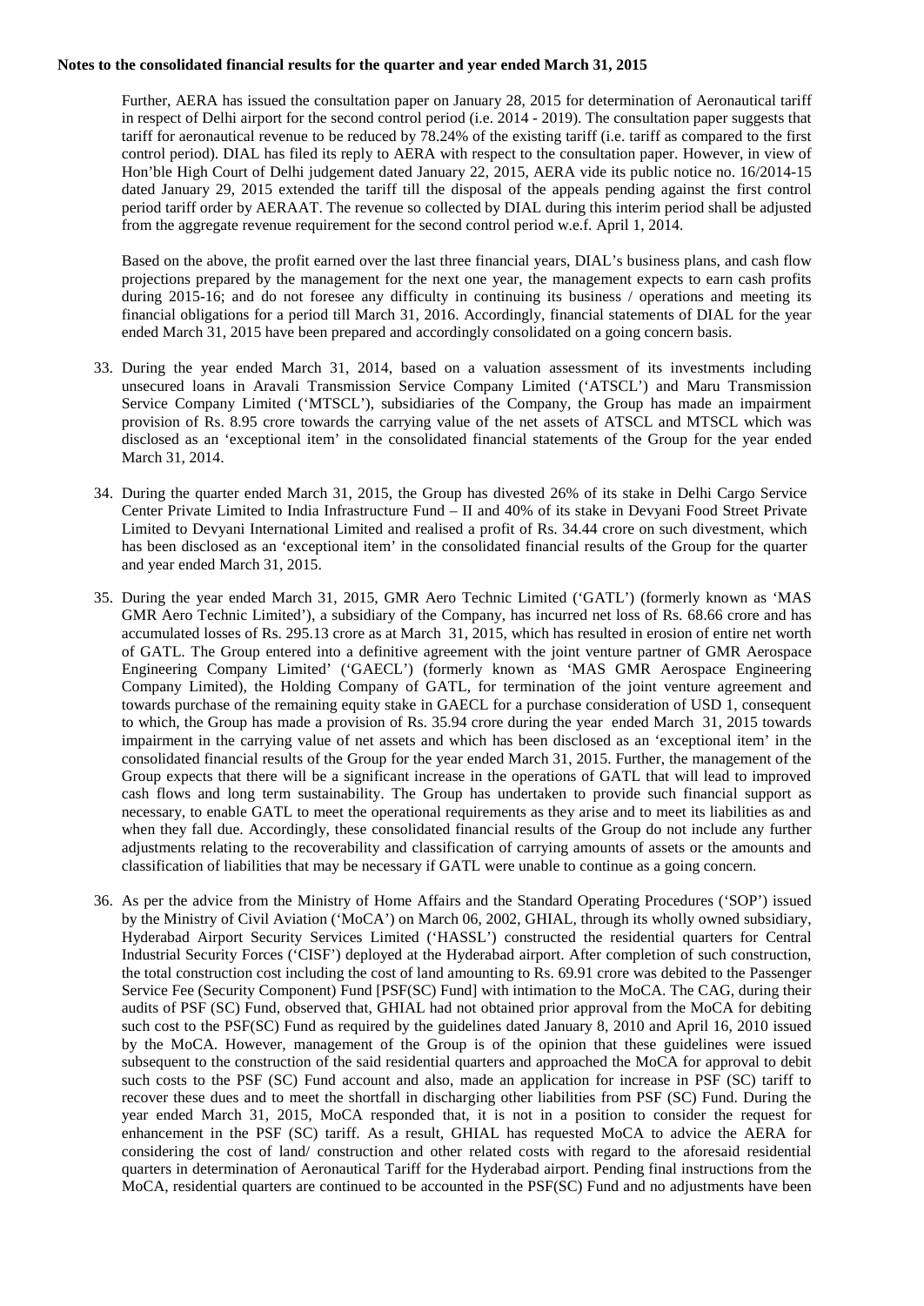Further, AERA has issued the consultation paper on January 28, 2015 for determination of Aeronautical tariff in respect of Delhi airport for the second control period (i.e. 2014 - 2019). The consultation paper suggests that tariff for aeronautical revenue to be reduced by 78.24% of the existing tariff (i.e. tariff as compared to the first control period). DIAL has filed its reply to AERA with respect to the consultation paper. However, in view of Hon'ble High Court of Delhi judgement dated January 22, 2015, AERA vide its public notice no. 16/2014-15 dated January 29, 2015 extended the tariff till the disposal of the appeals pending against the first control period tariff order by AERAAT. The revenue so collected by DIAL during this interim period shall be adjusted from the aggregate revenue requirement for the second control period w.e.f. April 1, 2014.

Based on the above, the profit earned over the last three financial years, DIAL's business plans, and cash flow projections prepared by the management for the next one year, the management expects to earn cash profits during 2015-16; and do not foresee any difficulty in continuing its business / operations and meeting its financial obligations for a period till March 31, 2016. Accordingly, financial statements of DIAL for the year ended March 31, 2015 have been prepared and accordingly consolidated on a going concern basis.

- 33. During the year ended March 31, 2014, based on a valuation assessment of its investments including unsecured loans in Aravali Transmission Service Company Limited ('ATSCL') and Maru Transmission Service Company Limited ('MTSCL'), subsidiaries of the Company, the Group has made an impairment provision of Rs. 8.95 crore towards the carrying value of the net assets of ATSCL and MTSCL which was disclosed as an 'exceptional item' in the consolidated financial statements of the Group for the year ended March 31, 2014.
- 34. During the quarter ended March 31, 2015, the Group has divested 26% of its stake in Delhi Cargo Service Center Private Limited to India Infrastructure Fund – II and 40% of its stake in Devyani Food Street Private Limited to Devyani International Limited and realised a profit of Rs. 34.44 crore on such divestment, which has been disclosed as an 'exceptional item' in the consolidated financial results of the Group for the quarter and year ended March 31, 2015.
- 35. During the year ended March 31, 2015, GMR Aero Technic Limited ('GATL') (formerly known as 'MAS GMR Aero Technic Limited'), a subsidiary of the Company, has incurred net loss of Rs. 68.66 crore and has accumulated losses of Rs. 295.13 crore as at March 31, 2015, which has resulted in erosion of entire net worth of GATL. The Group entered into a definitive agreement with the joint venture partner of GMR Aerospace Engineering Company Limited' ('GAECL') (formerly known as 'MAS GMR Aerospace Engineering Company Limited), the Holding Company of GATL, for termination of the joint venture agreement and towards purchase of the remaining equity stake in GAECL for a purchase consideration of USD 1, consequent to which, the Group has made a provision of Rs. 35.94 crore during the year ended March 31, 2015 towards impairment in the carrying value of net assets and which has been disclosed as an 'exceptional item' in the consolidated financial results of the Group for the year ended March 31, 2015. Further, the management of the Group expects that there will be a significant increase in the operations of GATL that will lead to improved cash flows and long term sustainability. The Group has undertaken to provide such financial support as necessary, to enable GATL to meet the operational requirements as they arise and to meet its liabilities as and when they fall due. Accordingly, these consolidated financial results of the Group do not include any further adjustments relating to the recoverability and classification of carrying amounts of assets or the amounts and classification of liabilities that may be necessary if GATL were unable to continue as a going concern.
- 36. As per the advice from the Ministry of Home Affairs and the Standard Operating Procedures ('SOP') issued by the Ministry of Civil Aviation ('MoCA') on March 06, 2002, GHIAL, through its wholly owned subsidiary, Hyderabad Airport Security Services Limited ('HASSL') constructed the residential quarters for Central Industrial Security Forces ('CISF') deployed at the Hyderabad airport. After completion of such construction, the total construction cost including the cost of land amounting to Rs. 69.91 crore was debited to the Passenger Service Fee (Security Component) Fund [PSF(SC) Fund] with intimation to the MoCA. The CAG, during their audits of PSF (SC) Fund, observed that, GHIAL had not obtained prior approval from the MoCA for debiting such cost to the PSF(SC) Fund as required by the guidelines dated January 8, 2010 and April 16, 2010 issued by the MoCA. However, management of the Group is of the opinion that these guidelines were issued subsequent to the construction of the said residential quarters and approached the MoCA for approval to debit such costs to the PSF (SC) Fund account and also, made an application for increase in PSF (SC) tariff to recover these dues and to meet the shortfall in discharging other liabilities from PSF (SC) Fund. During the year ended March 31, 2015, MoCA responded that, it is not in a position to consider the request for enhancement in the PSF (SC) tariff. As a result, GHIAL has requested MoCA to advice the AERA for considering the cost of land/ construction and other related costs with regard to the aforesaid residential quarters in determination of Aeronautical Tariff for the Hyderabad airport. Pending final instructions from the MoCA, residential quarters are continued to be accounted in the PSF(SC) Fund and no adjustments have been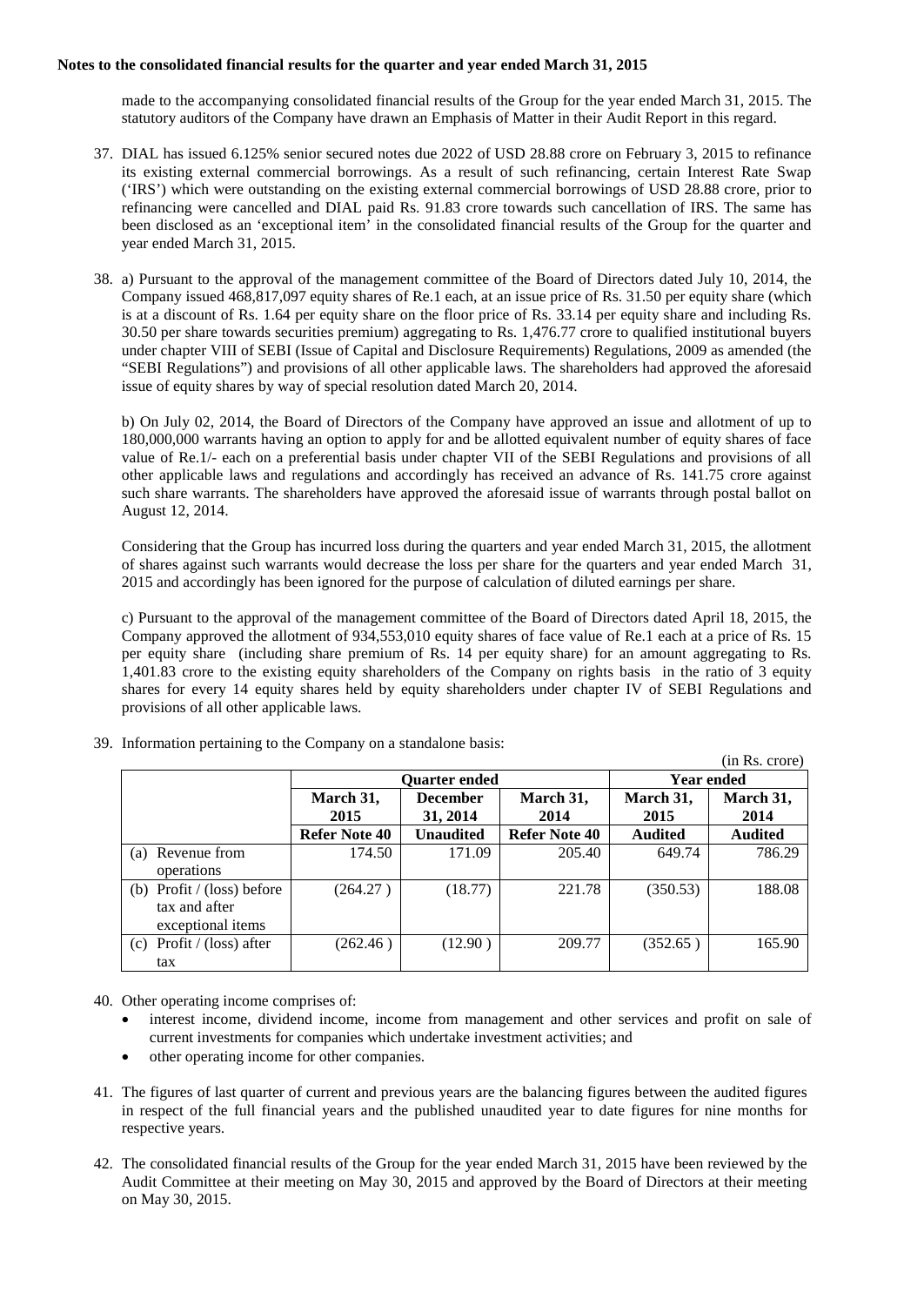made to the accompanying consolidated financial results of the Group for the year ended March 31, 2015. The statutory auditors of the Company have drawn an Emphasis of Matter in their Audit Report in this regard.

- 37. DIAL has issued 6.125% senior secured notes due 2022 of USD 28.88 crore on February 3, 2015 to refinance its existing external commercial borrowings. As a result of such refinancing, certain Interest Rate Swap ('IRS') which were outstanding on the existing external commercial borrowings of USD 28.88 crore, prior to refinancing were cancelled and DIAL paid Rs. 91.83 crore towards such cancellation of IRS. The same has been disclosed as an 'exceptional item' in the consolidated financial results of the Group for the quarter and year ended March 31, 2015.
- 38. a) Pursuant to the approval of the management committee of the Board of Directors dated July 10, 2014, the Company issued 468,817,097 equity shares of Re.1 each, at an issue price of Rs. 31.50 per equity share (which is at a discount of Rs. 1.64 per equity share on the floor price of Rs. 33.14 per equity share and including Rs. 30.50 per share towards securities premium) aggregating to Rs. 1,476.77 crore to qualified institutional buyers under chapter VIII of SEBI (Issue of Capital and Disclosure Requirements) Regulations, 2009 as amended (the "SEBI Regulations") and provisions of all other applicable laws. The shareholders had approved the aforesaid issue of equity shares by way of special resolution dated March 20, 2014.

b) On July 02, 2014, the Board of Directors of the Company have approved an issue and allotment of up to 180,000,000 warrants having an option to apply for and be allotted equivalent number of equity shares of face value of Re.1/- each on a preferential basis under chapter VII of the SEBI Regulations and provisions of all other applicable laws and regulations and accordingly has received an advance of Rs. 141.75 crore against such share warrants. The shareholders have approved the aforesaid issue of warrants through postal ballot on August 12, 2014.

Considering that the Group has incurred loss during the quarters and year ended March 31, 2015, the allotment of shares against such warrants would decrease the loss per share for the quarters and year ended March 31, 2015 and accordingly has been ignored for the purpose of calculation of diluted earnings per share.

c) Pursuant to the approval of the management committee of the Board of Directors dated April 18, 2015, the Company approved the allotment of 934,553,010 equity shares of face value of Re.1 each at a price of Rs. 15 per equity share (including share premium of Rs. 14 per equity share) for an amount aggregating to Rs. 1,401.83 crore to the existing equity shareholders of the Company on rights basis in the ratio of 3 equity shares for every 14 equity shares held by equity shareholders under chapter IV of SEBI Regulations and provisions of all other applicable laws.

|                              |               |                  |               |                   | (in Rs. crore) |
|------------------------------|---------------|------------------|---------------|-------------------|----------------|
|                              | Ouarter ended |                  |               | <b>Year ended</b> |                |
|                              | March 31,     | <b>December</b>  | March 31,     | March 31,         | March 31,      |
|                              | 2015          | 31, 2014         | 2014          | 2015              | 2014           |
|                              | Refer Note 40 | <b>Unaudited</b> | Refer Note 40 | <b>Audited</b>    | <b>Audited</b> |
| Revenue from<br>(a)          | 174.50        | 171.09           | 205.40        | 649.74            | 786.29         |
| operations                   |               |                  |               |                   |                |
| (b) Profit $/$ (loss) before | (264.27)      | (18.77)          | 221.78        | (350.53)          | 188.08         |
| tax and after                |               |                  |               |                   |                |
| exceptional items            |               |                  |               |                   |                |
| Profit / (loss) after<br>(c) | (262.46)      | (12.90)          | 209.77        | (352.65)          | 165.90         |
| tax                          |               |                  |               |                   |                |

39. Information pertaining to the Company on a standalone basis:

- 40. Other operating income comprises of:
	- interest income, dividend income, income from management and other services and profit on sale of current investments for companies which undertake investment activities; and
	- other operating income for other companies.
- 41. The figures of last quarter of current and previous years are the balancing figures between the audited figures in respect of the full financial years and the published unaudited year to date figures for nine months for respective years.
- 42. The consolidated financial results of the Group for the year ended March 31, 2015 have been reviewed by the Audit Committee at their meeting on May 30, 2015 and approved by the Board of Directors at their meeting on May 30, 2015.